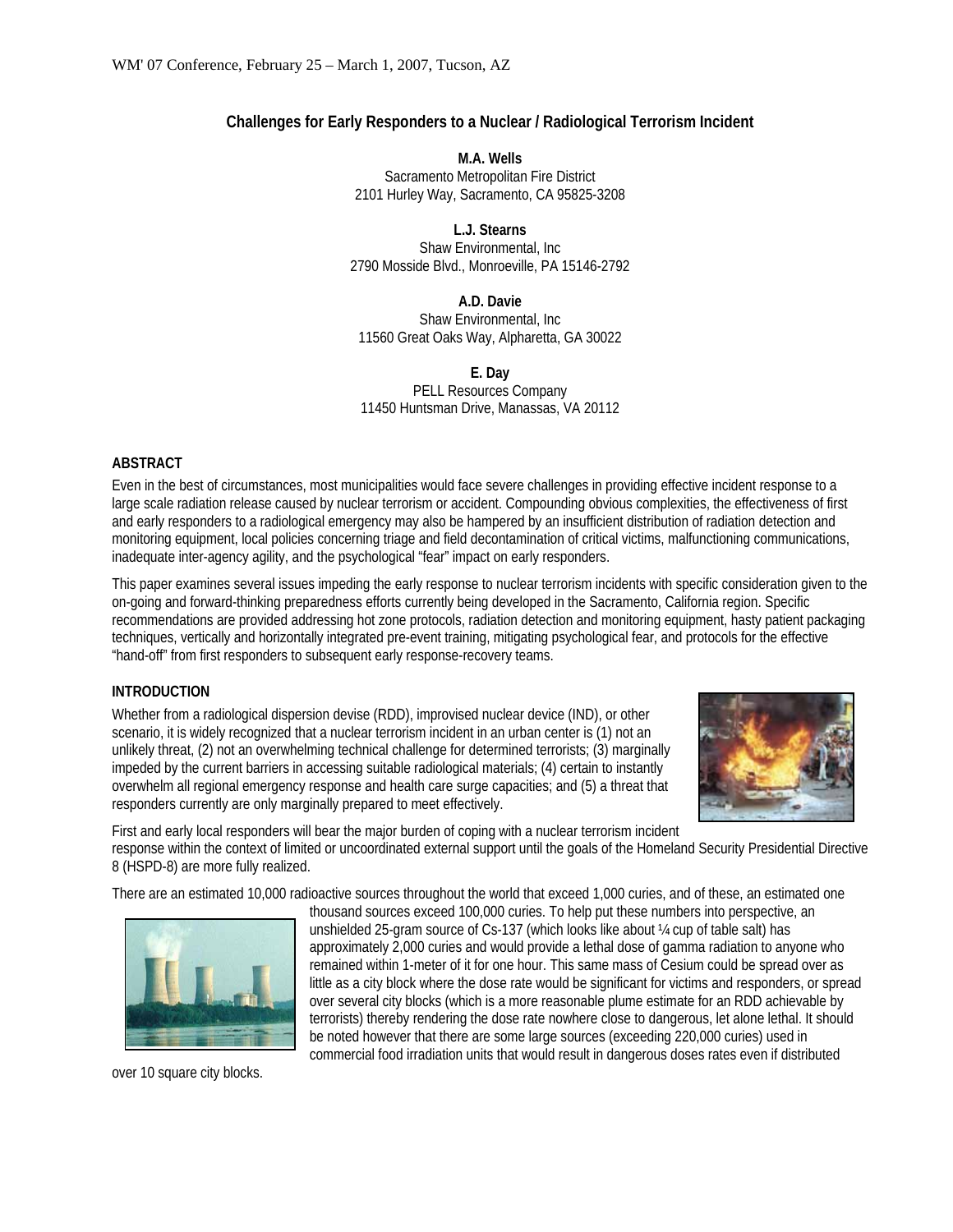## **Challenges for Early Responders to a Nuclear / Radiological Terrorism Incident**

**M.A. Wells**  Sacramento Metropolitan Fire District 2101 Hurley Way, Sacramento, CA 95825-3208

**L.J. Stearns**  Shaw Environmental, Inc 2790 Mosside Blvd., Monroeville, PA 15146-2792

**A.D. Davie**  Shaw Environmental, Inc 11560 Great Oaks Way, Alpharetta, GA 30022

**E. Day**  PELL Resources Company 11450 Huntsman Drive, Manassas, VA 20112

### **ABSTRACT**

Even in the best of circumstances, most municipalities would face severe challenges in providing effective incident response to a large scale radiation release caused by nuclear terrorism or accident. Compounding obvious complexities, the effectiveness of first and early responders to a radiological emergency may also be hampered by an insufficient distribution of radiation detection and monitoring equipment, local policies concerning triage and field decontamination of critical victims, malfunctioning communications, inadequate inter-agency agility, and the psychological "fear" impact on early responders.

This paper examines several issues impeding the early response to nuclear terrorism incidents with specific consideration given to the on-going and forward-thinking preparedness efforts currently being developed in the Sacramento, California region. Specific recommendations are provided addressing hot zone protocols, radiation detection and monitoring equipment, hasty patient packaging techniques, vertically and horizontally integrated pre-event training, mitigating psychological fear, and protocols for the effective "hand-off" from first responders to subsequent early response-recovery teams.

## **INTRODUCTION**

Whether from a radiological dispersion devise (RDD), improvised nuclear device (IND), or other scenario, it is widely recognized that a nuclear terrorism incident in an urban center is (1) not an unlikely threat, (2) not an overwhelming technical challenge for determined terrorists; (3) marginally impeded by the current barriers in accessing suitable radiological materials; (4) certain to instantly overwhelm all regional emergency response and health care surge capacities; and (5) a threat that responders currently are only marginally prepared to meet effectively.



First and early local responders will bear the major burden of coping with a nuclear terrorism incident response within the context of limited or uncoordinated external support until the goals of the Homeland Security Presidential Directive 8 (HSPD-8) are more fully realized.

There are an estimated 10,000 radioactive sources throughout the world that exceed 1,000 curies, and of these, an estimated one



over 10 square city blocks.

thousand sources exceed 100,000 curies. To help put these numbers into perspective, an unshielded 25-gram source of Cs-137 (which looks like about ¼ cup of table salt) has approximately 2,000 curies and would provide a lethal dose of gamma radiation to anyone who remained within 1-meter of it for one hour. This same mass of Cesium could be spread over as little as a city block where the dose rate would be significant for victims and responders, or spread over several city blocks (which is a more reasonable plume estimate for an RDD achievable by terrorists) thereby rendering the dose rate nowhere close to dangerous, let alone lethal. It should be noted however that there are some large sources (exceeding 220,000 curies) used in commercial food irradiation units that would result in dangerous doses rates even if distributed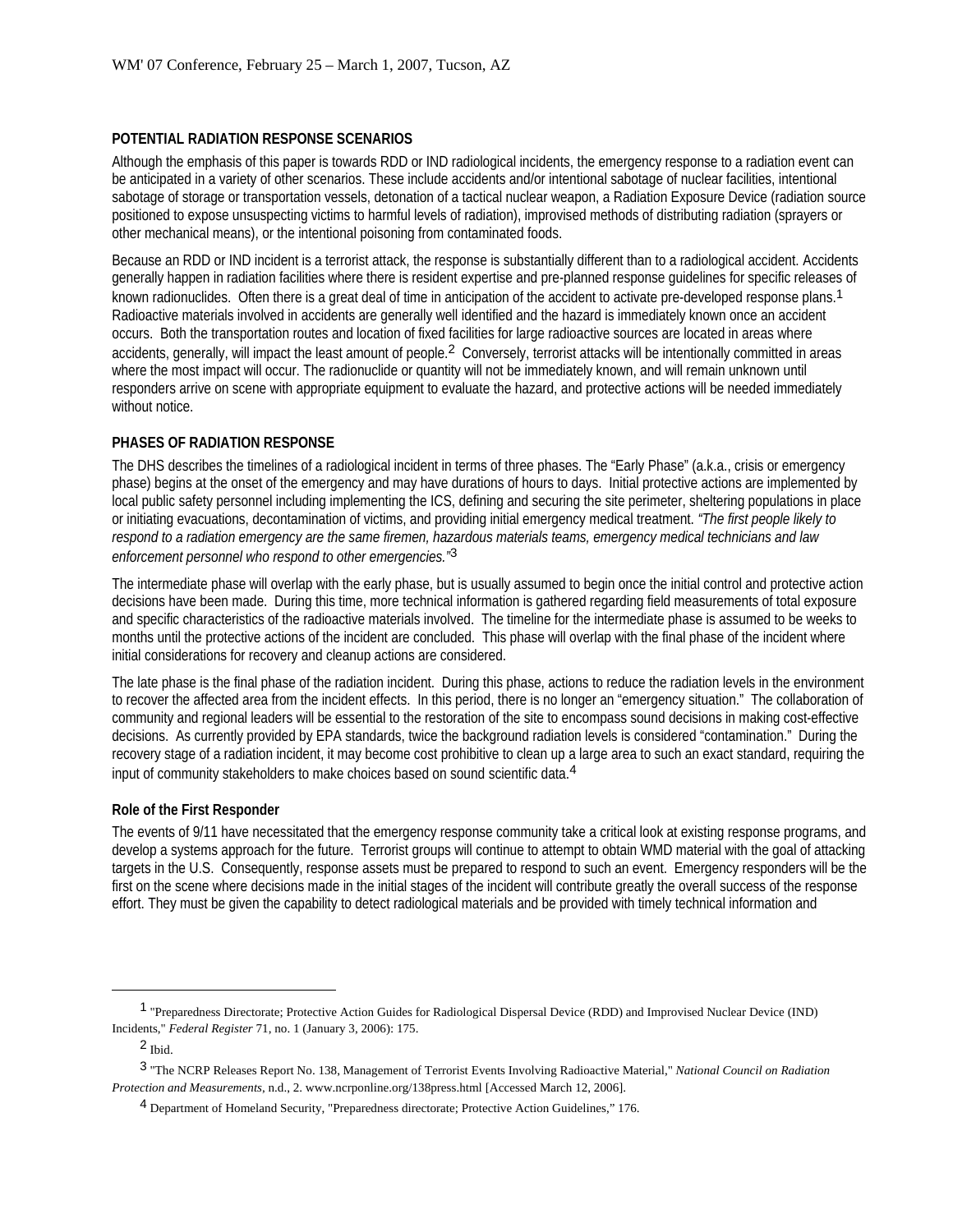#### **POTENTIAL RADIATION RESPONSE SCENARIOS**

Although the emphasis of this paper is towards RDD or IND radiological incidents, the emergency response to a radiation event can be anticipated in a variety of other scenarios. These include accidents and/or intentional sabotage of nuclear facilities, intentional sabotage of storage or transportation vessels, detonation of a tactical nuclear weapon, a Radiation Exposure Device (radiation source positioned to expose unsuspecting victims to harmful levels of radiation), improvised methods of distributing radiation (sprayers or other mechanical means), or the intentional poisoning from contaminated foods.

Because an RDD or IND incident is a terrorist attack, the response is substantially different than to a radiological accident. Accidents generally happen in radiation facilities where there is resident expertise and pre-planned response guidelines for specific releases of known radionuclides. Often there is a great deal of time in anticipation of the accident to activate pre-developed response plans.<sup>1</sup> Radioactive materials involved in accidents are generally well identified and the hazard is immediately known once an accident occurs. Both the transportation routes and location of fixed facilities for large radioactive sources are located in areas where accidents, generally, will impact the least amount of people.<sup>2</sup> Conversely, terrorist attacks will be intentionally committed in areas where the most impact will occur. The radionuclide or quantity will not be immediately known, and will remain unknown until responders arrive on scene with appropriate equipment to evaluate the hazard, and protective actions will be needed immediately without notice.

#### **PHASES OF RADIATION RESPONSE**

The DHS describes the timelines of a radiological incident in terms of three phases. The "Early Phase" (a.k.a., crisis or emergency phase) begins at the onset of the emergency and may have durations of hours to days. Initial protective actions are implemented by local public safety personnel including implementing the ICS, defining and securing the site perimeter, sheltering populations in place or initiating evacuations, decontamination of victims, and providing initial emergency medical treatment. *"The first people likely to respond to a radiation emergency are the same firemen, hazardous materials teams, emergency medical technicians and law enforcement personnel who respond to other emergencies."*3

The intermediate phase will overlap with the early phase, but is usually assumed to begin once the initial control and protective action decisions have been made. During this time, more technical information is gathered regarding field measurements of total exposure and specific characteristics of the radioactive materials involved. The timeline for the intermediate phase is assumed to be weeks to months until the protective actions of the incident are concluded. This phase will overlap with the final phase of the incident where initial considerations for recovery and cleanup actions are considered.

The late phase is the final phase of the radiation incident. During this phase, actions to reduce the radiation levels in the environment to recover the affected area from the incident effects. In this period, there is no longer an "emergency situation." The collaboration of community and regional leaders will be essential to the restoration of the site to encompass sound decisions in making cost-effective decisions. As currently provided by EPA standards, twice the background radiation levels is considered "contamination." During the recovery stage of a radiation incident, it may become cost prohibitive to clean up a large area to such an exact standard, requiring the input of community stakeholders to make choices based on sound scientific data.4

#### **Role of the First Responder**

The events of 9/11 have necessitated that the emergency response community take a critical look at existing response programs, and develop a systems approach for the future. Terrorist groups will continue to attempt to obtain WMD material with the goal of attacking targets in the U.S. Consequently, response assets must be prepared to respond to such an event. Emergency responders will be the first on the scene where decisions made in the initial stages of the incident will contribute greatly the overall success of the response effort. They must be given the capability to detect radiological materials and be provided with timely technical information and

 $\overline{a}$ 

<sup>1</sup> "Preparedness Directorate; Protective Action Guides for Radiological Dispersal Device (RDD) and Improvised Nuclear Device (IND) Incidents," *Federal Register* 71, no. 1 (January 3, 2006): 175.

<sup>2</sup> Ibid.

<sup>3</sup> "The NCRP Releases Report No. 138, Management of Terrorist Events Involving Radioactive Material," *National Council on Radiation Protection and Measurements*, n.d., 2. www.ncrponline.org/138press.html [Accessed March 12, 2006].

<sup>4</sup> Department of Homeland Security, "Preparedness directorate; Protective Action Guidelines," 176.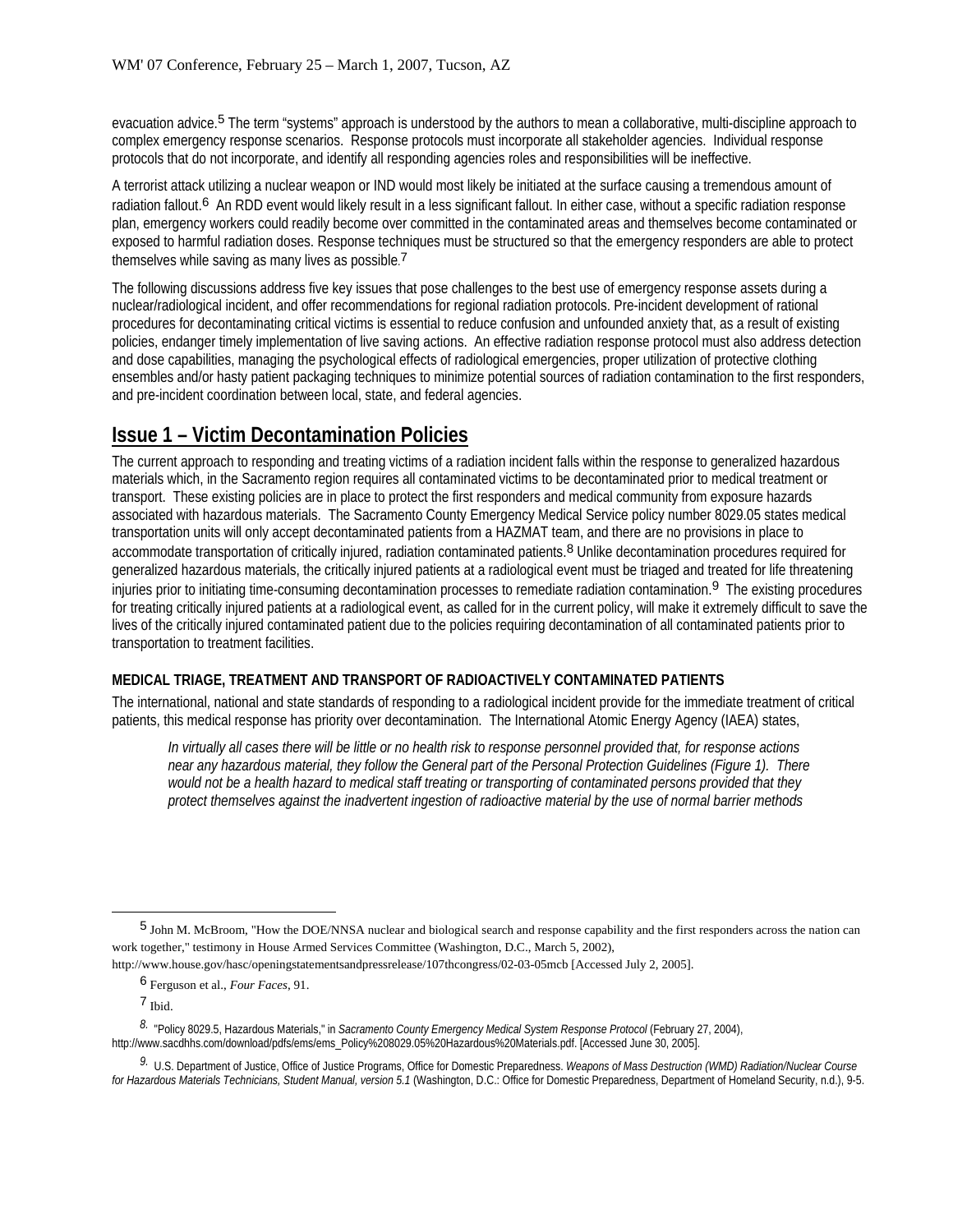evacuation advice.5 The term "systems" approach is understood by the authors to mean a collaborative, multi-discipline approach to complex emergency response scenarios. Response protocols must incorporate all stakeholder agencies. Individual response protocols that do not incorporate, and identify all responding agencies roles and responsibilities will be ineffective.

A terrorist attack utilizing a nuclear weapon or IND would most likely be initiated at the surface causing a tremendous amount of radiation fallout.<sup>6</sup> An RDD event would likely result in a less significant fallout. In either case, without a specific radiation response plan, emergency workers could readily become over committed in the contaminated areas and themselves become contaminated or exposed to harmful radiation doses. Response techniques must be structured so that the emergency responders are able to protect themselves while saving as many lives as possible.<sup>7</sup>

The following discussions address five key issues that pose challenges to the best use of emergency response assets during a nuclear/radiological incident, and offer recommendations for regional radiation protocols. Pre-incident development of rational procedures for decontaminating critical victims is essential to reduce confusion and unfounded anxiety that, as a result of existing policies, endanger timely implementation of live saving actions. An effective radiation response protocol must also address detection and dose capabilities, managing the psychological effects of radiological emergencies, proper utilization of protective clothing ensembles and/or hasty patient packaging techniques to minimize potential sources of radiation contamination to the first responders, and pre-incident coordination between local, state, and federal agencies.

## **Issue 1 – Victim Decontamination Policies**

The current approach to responding and treating victims of a radiation incident falls within the response to generalized hazardous materials which, in the Sacramento region requires all contaminated victims to be decontaminated prior to medical treatment or transport. These existing policies are in place to protect the first responders and medical community from exposure hazards associated with hazardous materials. The Sacramento County Emergency Medical Service policy number 8029.05 states medical transportation units will only accept decontaminated patients from a HAZMAT team, and there are no provisions in place to accommodate transportation of critically injured, radiation contaminated patients.<sup>8</sup> Unlike decontamination procedures required for generalized hazardous materials, the critically injured patients at a radiological event must be triaged and treated for life threatening injuries prior to initiating time-consuming decontamination processes to remediate radiation contamination.<sup>9</sup> The existing procedures for treating critically injured patients at a radiological event, as called for in the current policy, will make it extremely difficult to save the lives of the critically injured contaminated patient due to the policies requiring decontamination of all contaminated patients prior to transportation to treatment facilities.

## **MEDICAL TRIAGE, TREATMENT AND TRANSPORT OF RADIOACTIVELY CONTAMINATED PATIENTS**

The international, national and state standards of responding to a radiological incident provide for the immediate treatment of critical patients, this medical response has priority over decontamination. The International Atomic Energy Agency (IAEA) states,

*In virtually all cases there will be little or no health risk to response personnel provided that, for response actions near any hazardous material, they follow the General part of the Personal Protection Guidelines (Figure 1). There would not be a health hazard to medical staff treating or transporting of contaminated persons provided that they protect themselves against the inadvertent ingestion of radioactive material by the use of normal barrier methods* 

<sup>5</sup> John M. McBroom, "How the DOE/NNSA nuclear and biological search and response capability and the first responders across the nation can work together," testimony in House Armed Services Committee (Washington, D.C., March 5, 2002),

http://www.house.gov/hasc/openingstatementsandpressrelease/107thcongress/02-03-05mcb [Accessed July 2, 2005].

<sup>6</sup> Ferguson et al., *Four Faces*, 91.

<sup>7</sup> Ibid.

*<sup>8.</sup>* "Policy 8029.5, Hazardous Materials," in *Sacramento County Emergency Medical System Response Protocol* (February 27, 2004), http://www.sacdhhs.com/download/pdfs/ems/ems\_Policy%208029.05%20Hazardous%20Materials.pdf. [Accessed June 30, 2005].

*<sup>9.</sup>* U.S. Department of Justice, Office of Justice Programs, Office for Domestic Preparedness. *Weapons of Mass Destruction (WMD) Radiation/Nuclear Course for Hazardous Materials Technicians, Student Manual, version 5.1* (Washington, D.C.: Office for Domestic Preparedness, Department of Homeland Security, n.d.), 9-5.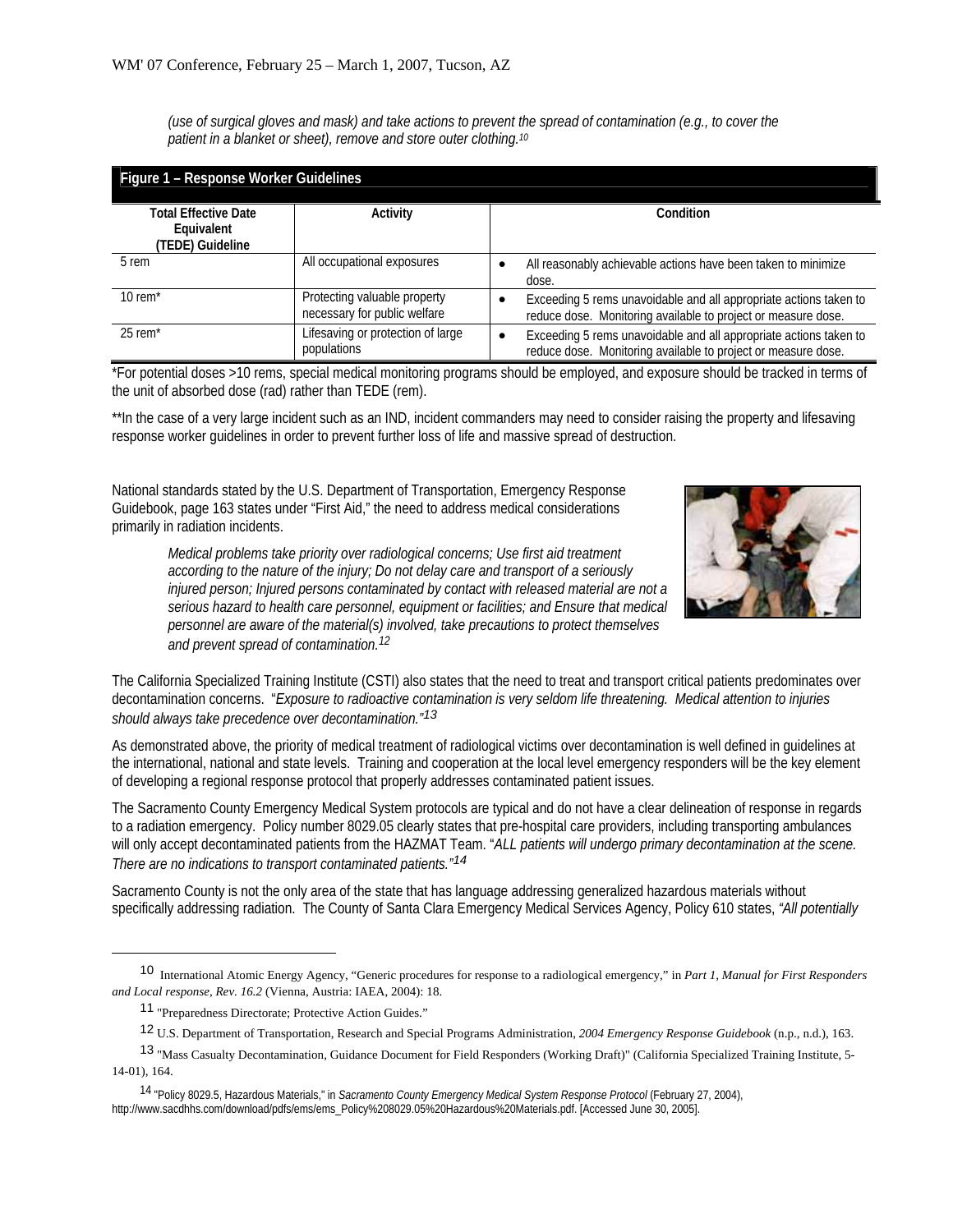*(use of surgical gloves and mask) and take actions to prevent the spread of contamination (e.g., to cover the patient in a blanket or sheet), remove and store outer clothing.10*

| Figure 1 - Response Worker Guidelines |                                                              |                                                                                                                                    |
|---------------------------------------|--------------------------------------------------------------|------------------------------------------------------------------------------------------------------------------------------------|
| <b>Total Effective Date</b>           | Activity                                                     | Condition                                                                                                                          |
| Equivalent<br>(TEDE) Guideline        |                                                              |                                                                                                                                    |
| 5 rem                                 | All occupational exposures                                   | All reasonably achievable actions have been taken to minimize<br>dose.                                                             |
| 10 rem $*$                            | Protecting valuable property<br>necessary for public welfare | Exceeding 5 rems unavoidable and all appropriate actions taken to<br>reduce dose. Monitoring available to project or measure dose. |
| $25$ rem <sup>*</sup>                 | Lifesaving or protection of large<br>populations             | Exceeding 5 rems unavoidable and all appropriate actions taken to<br>reduce dose. Monitoring available to project or measure dose. |

\*For potential doses >10 rems, special medical monitoring programs should be employed, and exposure should be tracked in terms of the unit of absorbed dose (rad) rather than TEDE (rem).

\*\*In the case of a very large incident such as an IND, incident commanders may need to consider raising the property and lifesaving response worker guidelines in order to prevent further loss of life and massive spread of destruction.

National standards stated by the U.S. Department of Transportation, Emergency Response Guidebook, page 163 states under "First Aid," the need to address medical considerations primarily in radiation incidents.



*Medical problems take priority over radiological concerns; Use first aid treatment according to the nature of the injury; Do not delay care and transport of a seriously injured person; Injured persons contaminated by contact with released material are not a serious hazard to health care personnel, equipment or facilities; and Ensure that medical personnel are aware of the material(s) involved, take precautions to protect themselves and prevent spread of contamination.12*

The California Specialized Training Institute (CSTI) also states that the need to treat and transport critical patients predominates over decontamination concerns. "*Exposure to radioactive contamination is very seldom life threatening. Medical attention to injuries should always take precedence over decontamination."13*

As demonstrated above, the priority of medical treatment of radiological victims over decontamination is well defined in guidelines at the international, national and state levels. Training and cooperation at the local level emergency responders will be the key element of developing a regional response protocol that properly addresses contaminated patient issues.

The Sacramento County Emergency Medical System protocols are typical and do not have a clear delineation of response in regards to a radiation emergency. Policy number 8029.05 clearly states that pre-hospital care providers, including transporting ambulances will only accept decontaminated patients from the HAZMAT Team. "*ALL patients will undergo primary decontamination at the scene. There are no indications to transport contaminated patients."14*

Sacramento County is not the only area of the state that has language addressing generalized hazardous materials without specifically addressing radiation. The County of Santa Clara Emergency Medical Services Agency, Policy 610 states, *"All potentially* 

 $\overline{a}$ 

<sup>10</sup> International Atomic Energy Agency, "Generic procedures for response to a radiological emergency," in *Part 1, Manual for First Responders and Local response, Rev. 16.2* (Vienna, Austria: IAEA, 2004): 18.

<sup>11</sup> "Preparedness Directorate; Protective Action Guides."

<sup>12</sup> U.S. Department of Transportation, Research and Special Programs Administration, *2004 Emergency Response Guidebook* (n.p., n.d.), 163.

<sup>13</sup> "Mass Casualty Decontamination, Guidance Document for Field Responders (Working Draft)" (California Specialized Training Institute, 5- 14-01), 164.

<sup>14 &</sup>quot;Policy 8029.5, Hazardous Materials," in *Sacramento County Emergency Medical System Response Protocol* (February 27, 2004), http://www.sacdhhs.com/download/pdfs/ems/ems\_Policy%208029.05%20Hazardous%20Materials.pdf. [Accessed June 30, 2005].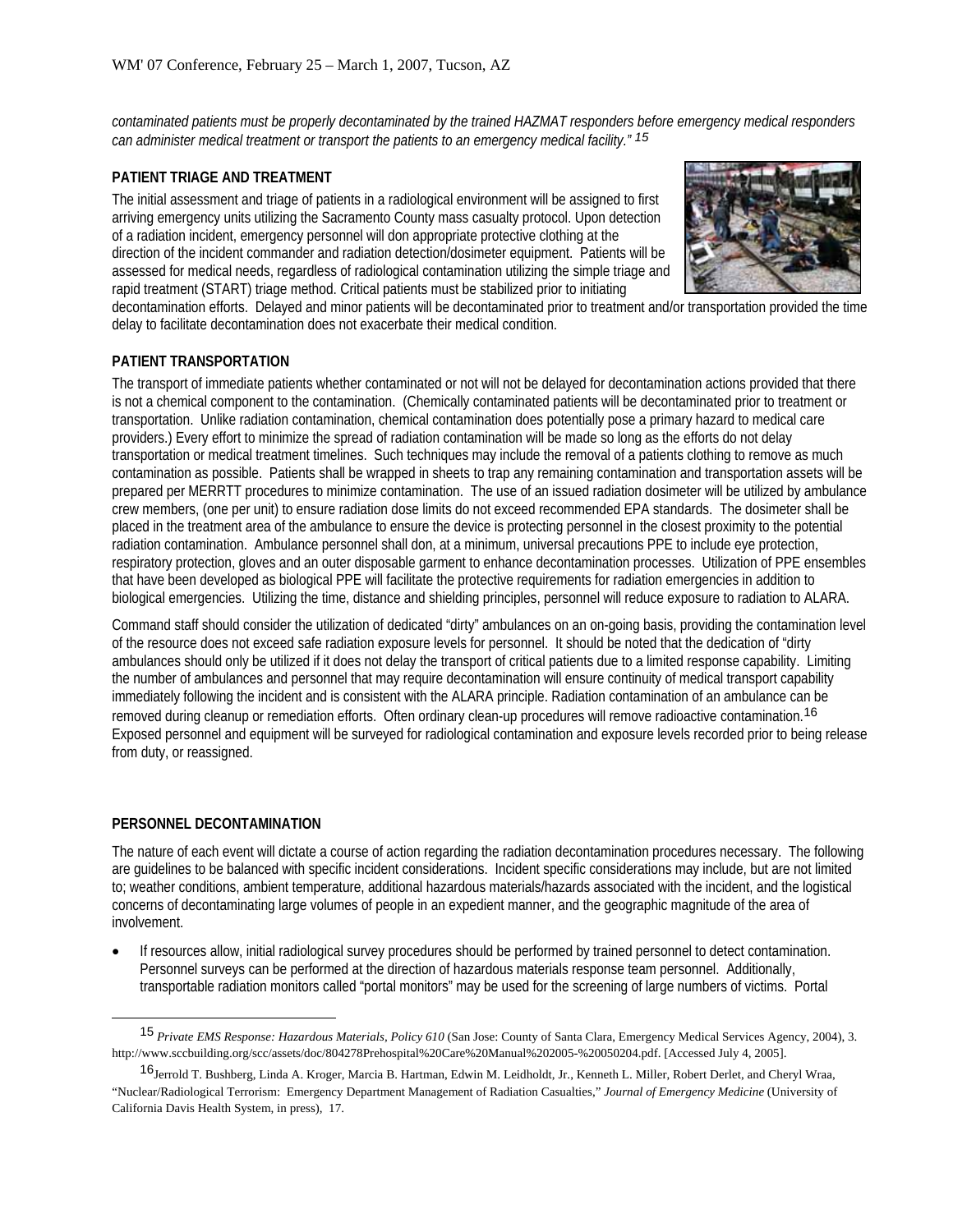*contaminated patients must be properly decontaminated by the trained HAZMAT responders before emergency medical responders can administer medical treatment or transport the patients to an emergency medical facility." 15*

### **PATIENT TRIAGE AND TREATMENT**

The initial assessment and triage of patients in a radiological environment will be assigned to first arriving emergency units utilizing the Sacramento County mass casualty protocol. Upon detection of a radiation incident, emergency personnel will don appropriate protective clothing at the direction of the incident commander and radiation detection/dosimeter equipment. Patients will be assessed for medical needs, regardless of radiological contamination utilizing the simple triage and rapid treatment (START) triage method. Critical patients must be stabilized prior to initiating



decontamination efforts. Delayed and minor patients will be decontaminated prior to treatment and/or transportation provided the time delay to facilitate decontamination does not exacerbate their medical condition.

### **PATIENT TRANSPORTATION**

The transport of immediate patients whether contaminated or not will not be delayed for decontamination actions provided that there is not a chemical component to the contamination. (Chemically contaminated patients will be decontaminated prior to treatment or transportation. Unlike radiation contamination, chemical contamination does potentially pose a primary hazard to medical care providers.) Every effort to minimize the spread of radiation contamination will be made so long as the efforts do not delay transportation or medical treatment timelines. Such techniques may include the removal of a patients clothing to remove as much contamination as possible. Patients shall be wrapped in sheets to trap any remaining contamination and transportation assets will be prepared per MERRTT procedures to minimize contamination. The use of an issued radiation dosimeter will be utilized by ambulance crew members, (one per unit) to ensure radiation dose limits do not exceed recommended EPA standards. The dosimeter shall be placed in the treatment area of the ambulance to ensure the device is protecting personnel in the closest proximity to the potential radiation contamination. Ambulance personnel shall don, at a minimum, universal precautions PPE to include eye protection, respiratory protection, gloves and an outer disposable garment to enhance decontamination processes. Utilization of PPE ensembles that have been developed as biological PPE will facilitate the protective requirements for radiation emergencies in addition to biological emergencies. Utilizing the time, distance and shielding principles, personnel will reduce exposure to radiation to ALARA.

Command staff should consider the utilization of dedicated "dirty" ambulances on an on-going basis, providing the contamination level of the resource does not exceed safe radiation exposure levels for personnel. It should be noted that the dedication of "dirty ambulances should only be utilized if it does not delay the transport of critical patients due to a limited response capability. Limiting the number of ambulances and personnel that may require decontamination will ensure continuity of medical transport capability immediately following the incident and is consistent with the ALARA principle. Radiation contamination of an ambulance can be removed during cleanup or remediation efforts. Often ordinary clean-up procedures will remove radioactive contamination.16 Exposed personnel and equipment will be surveyed for radiological contamination and exposure levels recorded prior to being release from duty, or reassigned.

#### **PERSONNEL DECONTAMINATION**

The nature of each event will dictate a course of action regarding the radiation decontamination procedures necessary. The following are guidelines to be balanced with specific incident considerations. Incident specific considerations may include, but are not limited to; weather conditions, ambient temperature, additional hazardous materials/hazards associated with the incident, and the logistical concerns of decontaminating large volumes of people in an expedient manner, and the geographic magnitude of the area of involvement.

• If resources allow, initial radiological survey procedures should be performed by trained personnel to detect contamination. Personnel surveys can be performed at the direction of hazardous materials response team personnel. Additionally, transportable radiation monitors called "portal monitors" may be used for the screening of large numbers of victims. Portal

<sup>15</sup> *Private EMS Response: Hazardous Materials, Policy 610* (San Jose: County of Santa Clara, Emergency Medical Services Agency, 2004), 3. http://www.sccbuilding.org/scc/assets/doc/804278Prehospital%20Care%20Manual%202005-%20050204.pdf. [Accessed July 4, 2005].

<sup>&</sup>lt;sup>16</sup>Jerrold T. Bushberg, Linda A. Kroger, Marcia B. Hartman, Edwin M. Leidholdt, Jr., Kenneth L. Miller, Robert Derlet, and Cheryl Wraa, "Nuclear/Radiological Terrorism: Emergency Department Management of Radiation Casualties," *Journal of Emergency Medicine* (University of California Davis Health System, in press), 17.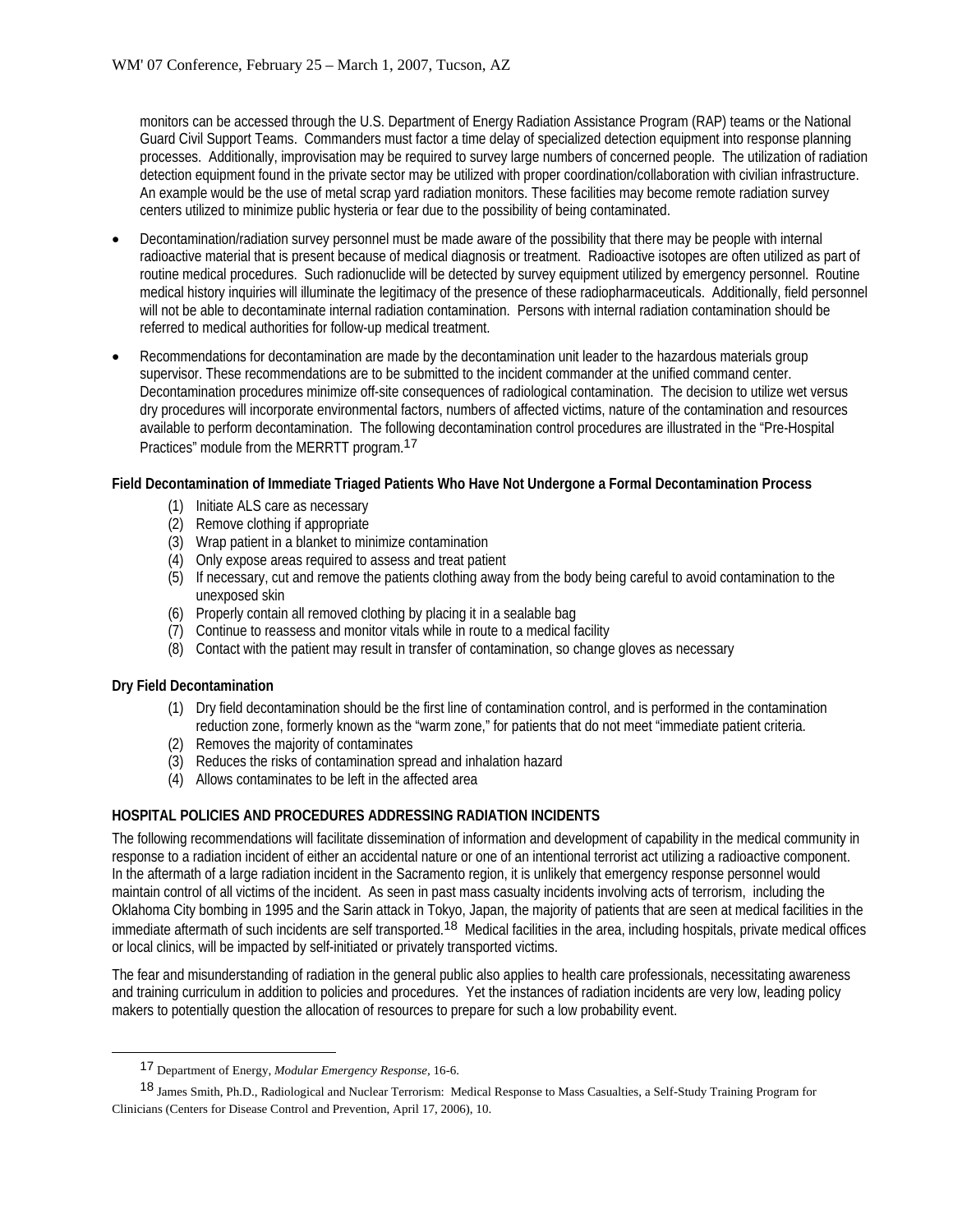monitors can be accessed through the U.S. Department of Energy Radiation Assistance Program (RAP) teams or the National Guard Civil Support Teams. Commanders must factor a time delay of specialized detection equipment into response planning processes. Additionally, improvisation may be required to survey large numbers of concerned people. The utilization of radiation detection equipment found in the private sector may be utilized with proper coordination/collaboration with civilian infrastructure. An example would be the use of metal scrap yard radiation monitors. These facilities may become remote radiation survey centers utilized to minimize public hysteria or fear due to the possibility of being contaminated.

- Decontamination/radiation survey personnel must be made aware of the possibility that there may be people with internal radioactive material that is present because of medical diagnosis or treatment. Radioactive isotopes are often utilized as part of routine medical procedures. Such radionuclide will be detected by survey equipment utilized by emergency personnel. Routine medical history inquiries will illuminate the legitimacy of the presence of these radiopharmaceuticals. Additionally, field personnel will not be able to decontaminate internal radiation contamination. Persons with internal radiation contamination should be referred to medical authorities for follow-up medical treatment.
- Recommendations for decontamination are made by the decontamination unit leader to the hazardous materials group supervisor. These recommendations are to be submitted to the incident commander at the unified command center. Decontamination procedures minimize off-site consequences of radiological contamination. The decision to utilize wet versus dry procedures will incorporate environmental factors, numbers of affected victims, nature of the contamination and resources available to perform decontamination. The following decontamination control procedures are illustrated in the "Pre-Hospital Practices" module from the MERRTT program.17

## **Field Decontamination of Immediate Triaged Patients Who Have Not Undergone a Formal Decontamination Process**

- (1) Initiate ALS care as necessary
- (2) Remove clothing if appropriate
- (3) Wrap patient in a blanket to minimize contamination
- (4) Only expose areas required to assess and treat patient
- (5) If necessary, cut and remove the patients clothing away from the body being careful to avoid contamination to the unexposed skin
- (6) Properly contain all removed clothing by placing it in a sealable bag
- (7) Continue to reassess and monitor vitals while in route to a medical facility
- (8) Contact with the patient may result in transfer of contamination, so change gloves as necessary

#### **Dry Field Decontamination**

- (1) Dry field decontamination should be the first line of contamination control, and is performed in the contamination reduction zone, formerly known as the "warm zone," for patients that do not meet "immediate patient criteria.
- (2) Removes the majority of contaminates
- (3) Reduces the risks of contamination spread and inhalation hazard
- (4) Allows contaminates to be left in the affected area

## **HOSPITAL POLICIES AND PROCEDURES ADDRESSING RADIATION INCIDENTS**

The following recommendations will facilitate dissemination of information and development of capability in the medical community in response to a radiation incident of either an accidental nature or one of an intentional terrorist act utilizing a radioactive component. In the aftermath of a large radiation incident in the Sacramento region, it is unlikely that emergency response personnel would maintain control of all victims of the incident. As seen in past mass casualty incidents involving acts of terrorism, including the Oklahoma City bombing in 1995 and the Sarin attack in Tokyo, Japan, the majority of patients that are seen at medical facilities in the immediate aftermath of such incidents are self transported.<sup>18</sup> Medical facilities in the area, including hospitals, private medical offices or local clinics, will be impacted by self-initiated or privately transported victims.

The fear and misunderstanding of radiation in the general public also applies to health care professionals, necessitating awareness and training curriculum in addition to policies and procedures. Yet the instances of radiation incidents are very low, leading policy makers to potentially question the allocation of resources to prepare for such a low probability event.

<sup>17</sup> Department of Energy, *Modular Emergency Response,* 16-6.

<sup>18</sup> James Smith, Ph.D., Radiological and Nuclear Terrorism: Medical Response to Mass Casualties, a Self-Study Training Program for Clinicians (Centers for Disease Control and Prevention, April 17, 2006), 10.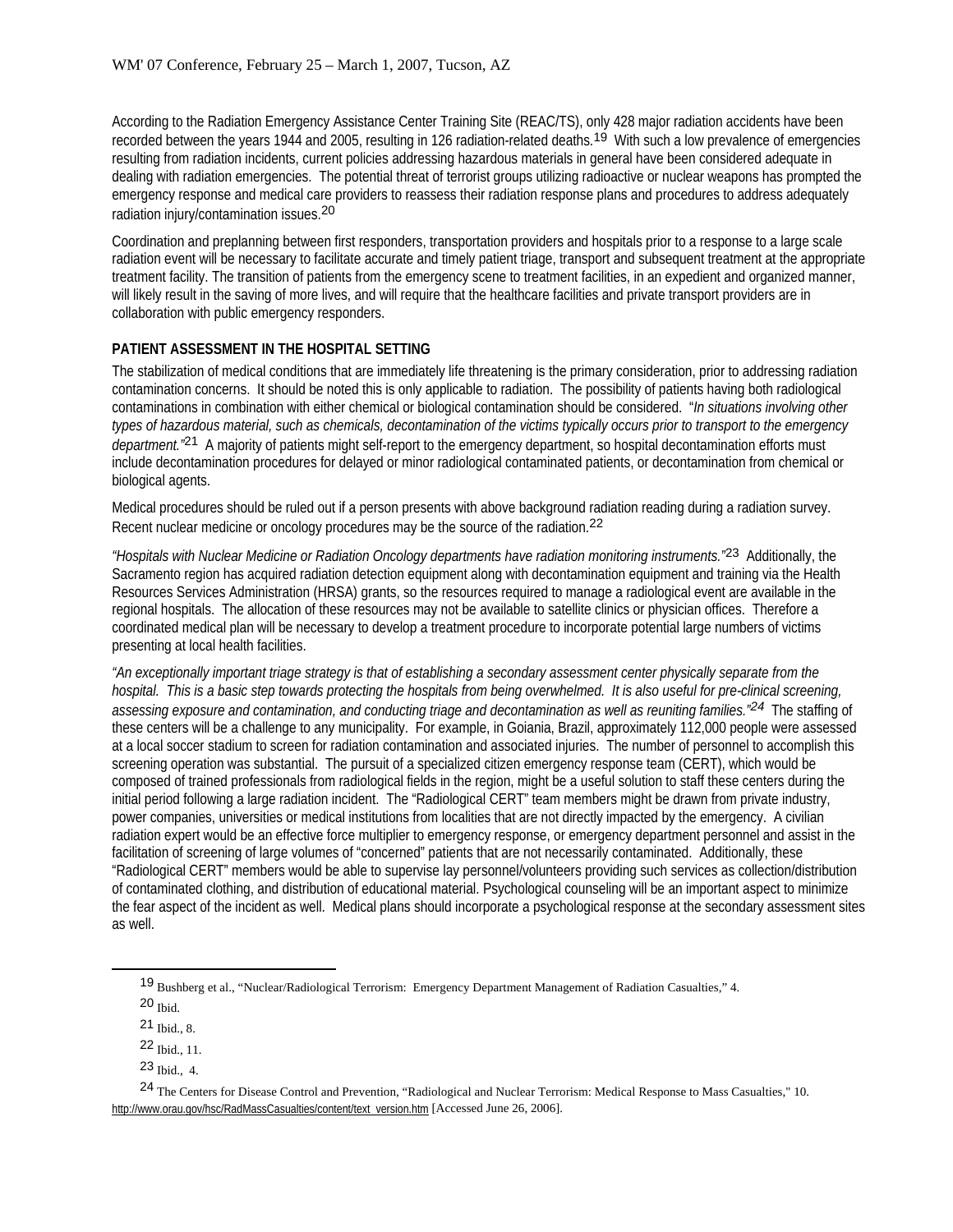According to the Radiation Emergency Assistance Center Training Site (REAC/TS), only 428 major radiation accidents have been recorded between the years 1944 and 2005, resulting in 126 radiation-related deaths.<sup>19</sup> With such a low prevalence of emergencies resulting from radiation incidents, current policies addressing hazardous materials in general have been considered adequate in dealing with radiation emergencies. The potential threat of terrorist groups utilizing radioactive or nuclear weapons has prompted the emergency response and medical care providers to reassess their radiation response plans and procedures to address adequately radiation injury/contamination issues.20

Coordination and preplanning between first responders, transportation providers and hospitals prior to a response to a large scale radiation event will be necessary to facilitate accurate and timely patient triage, transport and subsequent treatment at the appropriate treatment facility. The transition of patients from the emergency scene to treatment facilities, in an expedient and organized manner, will likely result in the saving of more lives, and will require that the healthcare facilities and private transport providers are in collaboration with public emergency responders.

## **PATIENT ASSESSMENT IN THE HOSPITAL SETTING**

The stabilization of medical conditions that are immediately life threatening is the primary consideration, prior to addressing radiation contamination concerns. It should be noted this is only applicable to radiation. The possibility of patients having both radiological contaminations in combination with either chemical or biological contamination should be considered. "*In situations involving other types of hazardous material, such as chemicals, decontamination of the victims typically occurs prior to transport to the emergency department.* <sup>21</sup> A majority of patients might self-report to the emergency department, so hospital decontamination efforts must include decontamination procedures for delayed or minor radiological contaminated patients, or decontamination from chemical or biological agents.

Medical procedures should be ruled out if a person presents with above background radiation reading during a radiation survey. Recent nuclear medicine or oncology procedures may be the source of the radiation.22

*"Hospitals with Nuclear Medicine or Radiation Oncology departments have radiation monitoring instruments."*23 Additionally, the Sacramento region has acquired radiation detection equipment along with decontamination equipment and training via the Health Resources Services Administration (HRSA) grants, so the resources required to manage a radiological event are available in the regional hospitals. The allocation of these resources may not be available to satellite clinics or physician offices. Therefore a coordinated medical plan will be necessary to develop a treatment procedure to incorporate potential large numbers of victims presenting at local health facilities.

*"An exceptionally important triage strategy is that of establishing a secondary assessment center physically separate from the hospital. This is a basic step towards protecting the hospitals from being overwhelmed. It is also useful for pre-clinical screening, assessing exposure and contamination, and conducting triage and decontamination as well as reuniting families."24* The staffing of these centers will be a challenge to any municipality. For example, in Goiania, Brazil, approximately 112,000 people were assessed at a local soccer stadium to screen for radiation contamination and associated injuries. The number of personnel to accomplish this screening operation was substantial. The pursuit of a specialized citizen emergency response team (CERT), which would be composed of trained professionals from radiological fields in the region, might be a useful solution to staff these centers during the initial period following a large radiation incident. The "Radiological CERT" team members might be drawn from private industry, power companies, universities or medical institutions from localities that are not directly impacted by the emergency. A civilian radiation expert would be an effective force multiplier to emergency response, or emergency department personnel and assist in the facilitation of screening of large volumes of "concerned" patients that are not necessarily contaminated. Additionally, these "Radiological CERT" members would be able to supervise lay personnel/volunteers providing such services as collection/distribution of contaminated clothing, and distribution of educational material. Psychological counseling will be an important aspect to minimize the fear aspect of the incident as well. Medical plans should incorporate a psychological response at the secondary assessment sites as well.

<sup>19</sup> Bushberg et al., "Nuclear/Radiological Terrorism: Emergency Department Management of Radiation Casualties," 4.

<sup>20</sup> Ibid.

<sup>21</sup> Ibid., 8.

<sup>22</sup> Ibid., 11.

<sup>23</sup> Ibid., 4.

<sup>24</sup> The Centers for Disease Control and Prevention, "Radiological and Nuclear Terrorism: Medical Response to Mass Casualties," 10. http://www.orau.qov/hsc/RadMassCasualties/content/text\_version.htm [Accessed June 26, 2006].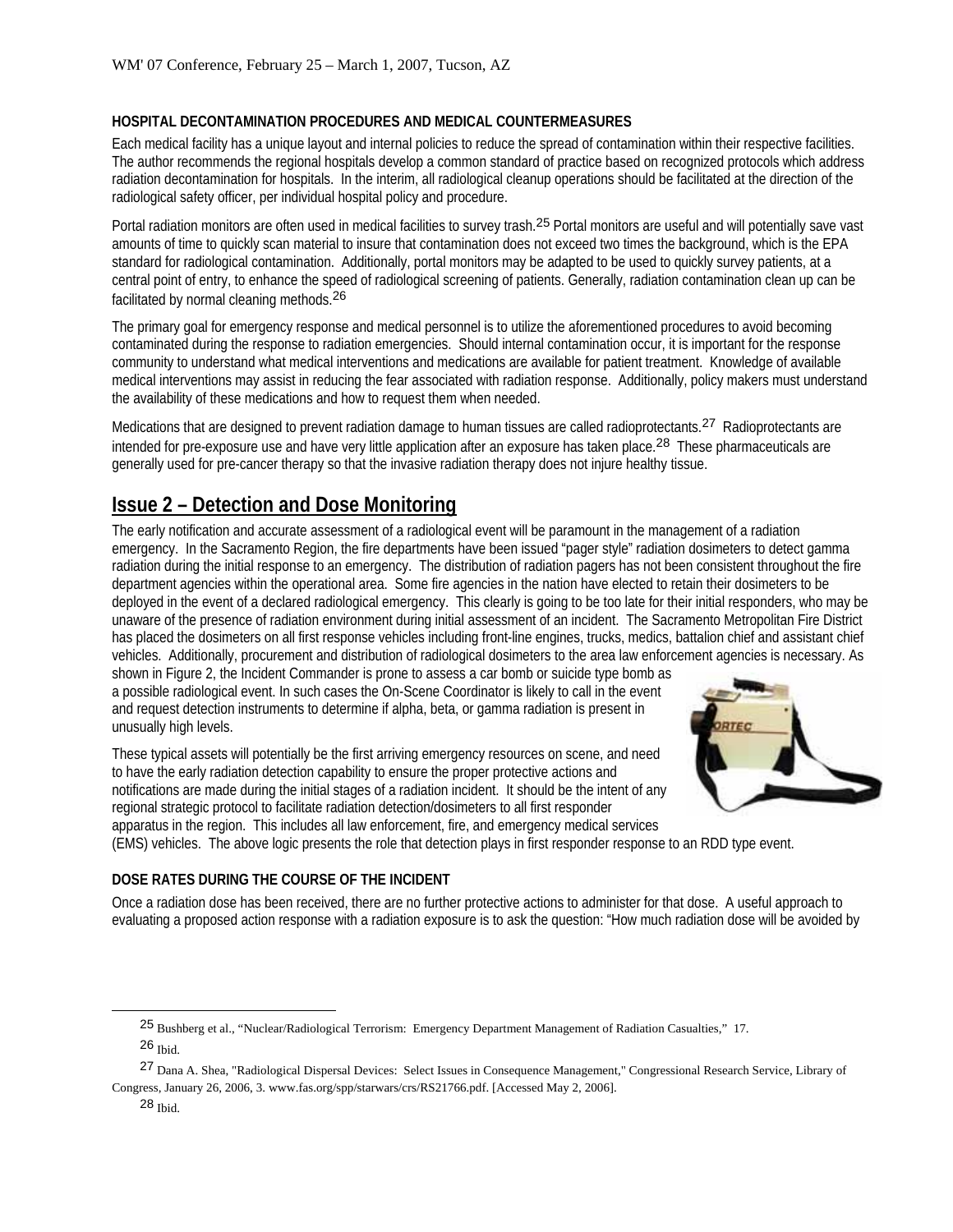### **HOSPITAL DECONTAMINATION PROCEDURES AND MEDICAL COUNTERMEASURES**

Each medical facility has a unique layout and internal policies to reduce the spread of contamination within their respective facilities. The author recommends the regional hospitals develop a common standard of practice based on recognized protocols which address radiation decontamination for hospitals. In the interim, all radiological cleanup operations should be facilitated at the direction of the radiological safety officer, per individual hospital policy and procedure.

Portal radiation monitors are often used in medical facilities to survey trash.25 Portal monitors are useful and will potentially save vast amounts of time to quickly scan material to insure that contamination does not exceed two times the background, which is the EPA standard for radiological contamination. Additionally, portal monitors may be adapted to be used to quickly survey patients, at a central point of entry, to enhance the speed of radiological screening of patients. Generally, radiation contamination clean up can be facilitated by normal cleaning methods.26

The primary goal for emergency response and medical personnel is to utilize the aforementioned procedures to avoid becoming contaminated during the response to radiation emergencies. Should internal contamination occur, it is important for the response community to understand what medical interventions and medications are available for patient treatment. Knowledge of available medical interventions may assist in reducing the fear associated with radiation response. Additionally, policy makers must understand the availability of these medications and how to request them when needed.

Medications that are designed to prevent radiation damage to human tissues are called radioprotectants.<sup>27</sup> Radioprotectants are intended for pre-exposure use and have very little application after an exposure has taken place.<sup>28</sup> These pharmaceuticals are generally used for pre-cancer therapy so that the invasive radiation therapy does not injure healthy tissue.

## **Issue 2 – Detection and Dose Monitoring**

The early notification and accurate assessment of a radiological event will be paramount in the management of a radiation emergency. In the Sacramento Region, the fire departments have been issued "pager style" radiation dosimeters to detect gamma radiation during the initial response to an emergency. The distribution of radiation pagers has not been consistent throughout the fire department agencies within the operational area. Some fire agencies in the nation have elected to retain their dosimeters to be deployed in the event of a declared radiological emergency. This clearly is going to be too late for their initial responders, who may be unaware of the presence of radiation environment during initial assessment of an incident. The Sacramento Metropolitan Fire District has placed the dosimeters on all first response vehicles including front-line engines, trucks, medics, battalion chief and assistant chief vehicles. Additionally, procurement and distribution of radiological dosimeters to the area law enforcement agencies is necessary. As

shown in Figure 2, the Incident Commander is prone to assess a car bomb or suicide type bomb as a possible radiological event. In such cases the On-Scene Coordinator is likely to call in the event and request detection instruments to determine if alpha, beta, or gamma radiation is present in unusually high levels.

These typical assets will potentially be the first arriving emergency resources on scene, and need to have the early radiation detection capability to ensure the proper protective actions and notifications are made during the initial stages of a radiation incident. It should be the intent of any regional strategic protocol to facilitate radiation detection/dosimeters to all first responder apparatus in the region. This includes all law enforcement, fire, and emergency medical services



(EMS) vehicles. The above logic presents the role that detection plays in first responder response to an RDD type event.

## **DOSE RATES DURING THE COURSE OF THE INCIDENT**

Once a radiation dose has been received, there are no further protective actions to administer for that dose. A useful approach to evaluating a proposed action response with a radiation exposure is to ask the question: "How much radiation dose will be avoided by

27 Dana A. Shea, "Radiological Dispersal Devices: Select Issues in Consequence Management," Congressional Research Service, Library of Congress, January 26, 2006, 3. www.fas.org/spp/starwars/crs/RS21766.pdf. [Accessed May 2, 2006].

<sup>25</sup> Bushberg et al., "Nuclear/Radiological Terrorism: Emergency Department Management of Radiation Casualties," 17. 26 Ibid.

 $28$  Ibid.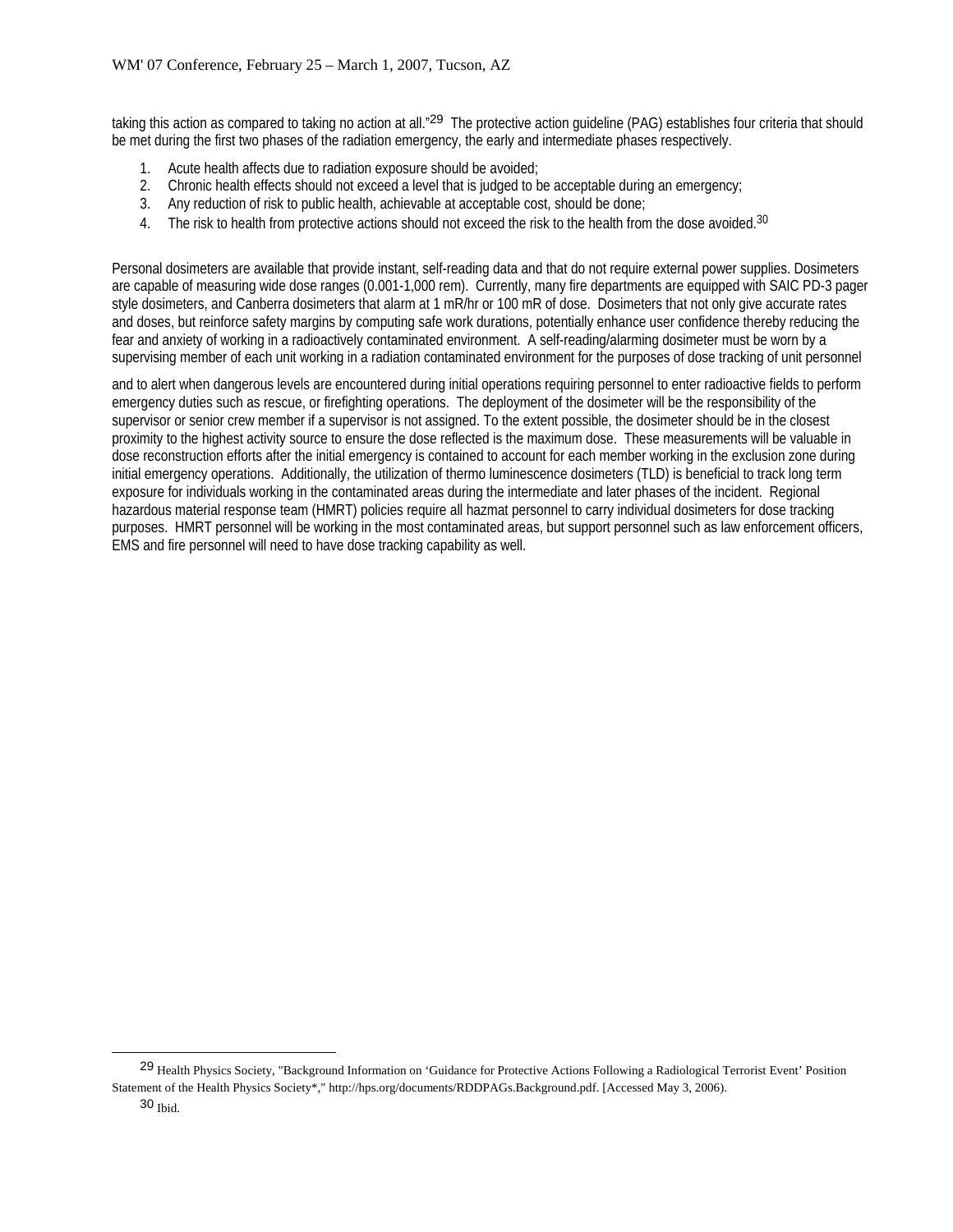taking this action as compared to taking no action at all."<sup>29</sup> The protective action guideline (PAG) establishes four criteria that should be met during the first two phases of the radiation emergency, the early and intermediate phases respectively.

- 1. Acute health affects due to radiation exposure should be avoided;
- 2. Chronic health effects should not exceed a level that is judged to be acceptable during an emergency;
- 3. Any reduction of risk to public health, achievable at acceptable cost, should be done;
- 4. The risk to health from protective actions should not exceed the risk to the health from the dose avoided.<sup>30</sup>

Personal dosimeters are available that provide instant, self-reading data and that do not require external power supplies. Dosimeters are capable of measuring wide dose ranges (0.001-1,000 rem). Currently, many fire departments are equipped with SAIC PD-3 pager style dosimeters, and Canberra dosimeters that alarm at 1 mR/hr or 100 mR of dose. Dosimeters that not only give accurate rates and doses, but reinforce safety margins by computing safe work durations, potentially enhance user confidence thereby reducing the fear and anxiety of working in a radioactively contaminated environment. A self-reading/alarming dosimeter must be worn by a supervising member of each unit working in a radiation contaminated environment for the purposes of dose tracking of unit personnel

and to alert when dangerous levels are encountered during initial operations requiring personnel to enter radioactive fields to perform emergency duties such as rescue, or firefighting operations. The deployment of the dosimeter will be the responsibility of the supervisor or senior crew member if a supervisor is not assigned. To the extent possible, the dosimeter should be in the closest proximity to the highest activity source to ensure the dose reflected is the maximum dose. These measurements will be valuable in dose reconstruction efforts after the initial emergency is contained to account for each member working in the exclusion zone during initial emergency operations. Additionally, the utilization of thermo luminescence dosimeters (TLD) is beneficial to track long term exposure for individuals working in the contaminated areas during the intermediate and later phases of the incident. Regional hazardous material response team (HMRT) policies require all hazmat personnel to carry individual dosimeters for dose tracking purposes. HMRT personnel will be working in the most contaminated areas, but support personnel such as law enforcement officers, EMS and fire personnel will need to have dose tracking capability as well.

<sup>29</sup> Health Physics Society, "Background Information on 'Guidance for Protective Actions Following a Radiological Terrorist Event' Position Statement of the Health Physics Society\*," http://hps.org/documents/RDDPAGs.Background.pdf. [Accessed May 3, 2006).

<sup>30</sup> Ibid.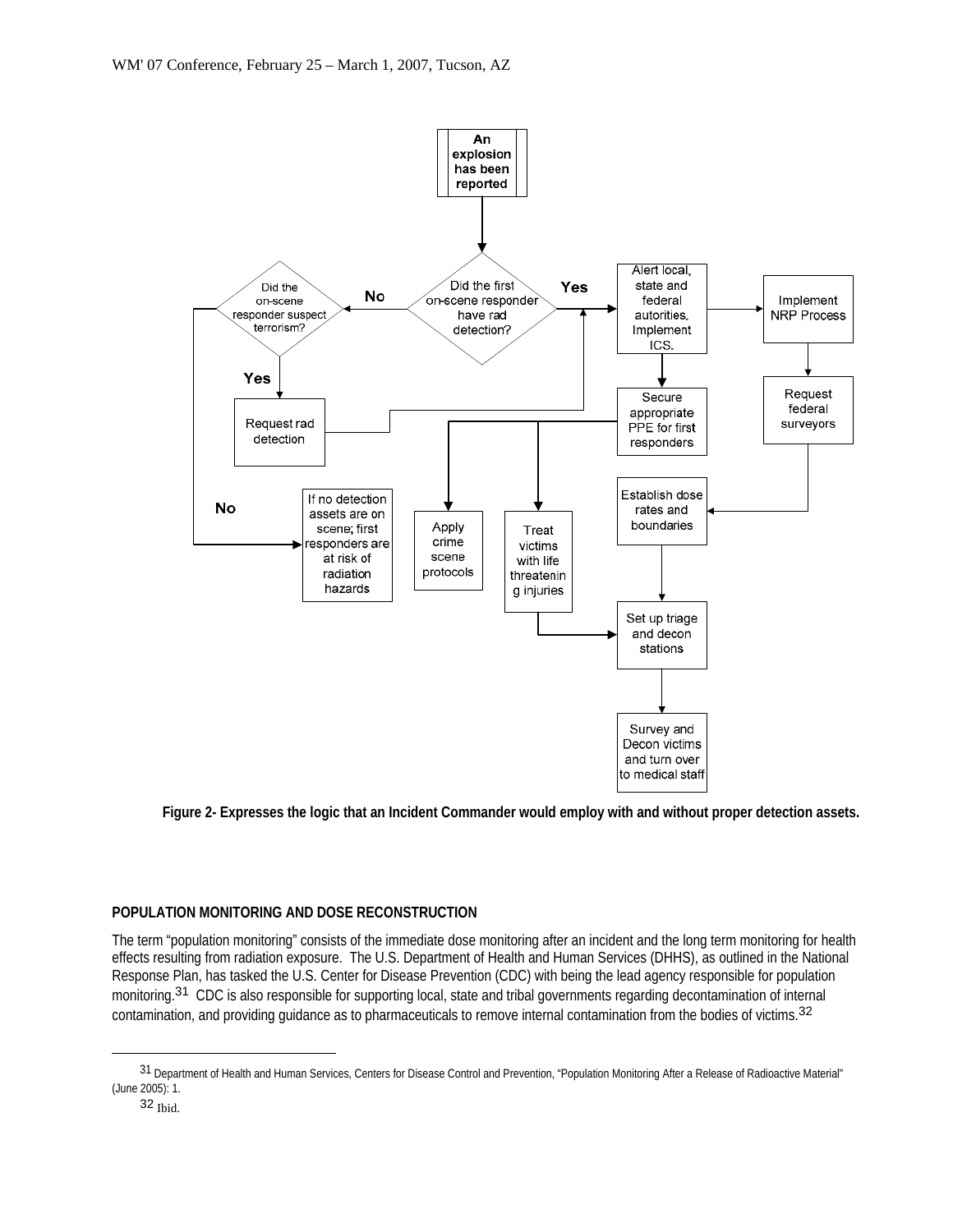

**Figure 2- Expresses the logic that an Incident Commander would employ with and without proper detection assets.** 

#### **POPULATION MONITORING AND DOSE RECONSTRUCTION**

The term "population monitoring" consists of the immediate dose monitoring after an incident and the long term monitoring for health effects resulting from radiation exposure. The U.S. Department of Health and Human Services (DHHS), as outlined in the National Response Plan, has tasked the U.S. Center for Disease Prevention (CDC) with being the lead agency responsible for population monitoring.<sup>31</sup> CDC is also responsible for supporting local, state and tribal governments regarding decontamination of internal contamination, and providing guidance as to pharmaceuticals to remove internal contamination from the bodies of victims.<sup>32</sup>

 $\overline{a}$ 

<sup>31</sup> Department of Health and Human Services, Centers for Disease Control and Prevention, "Population Monitoring After a Release of Radioactive Material" (June 2005): 1.

<sup>32</sup> Ibid.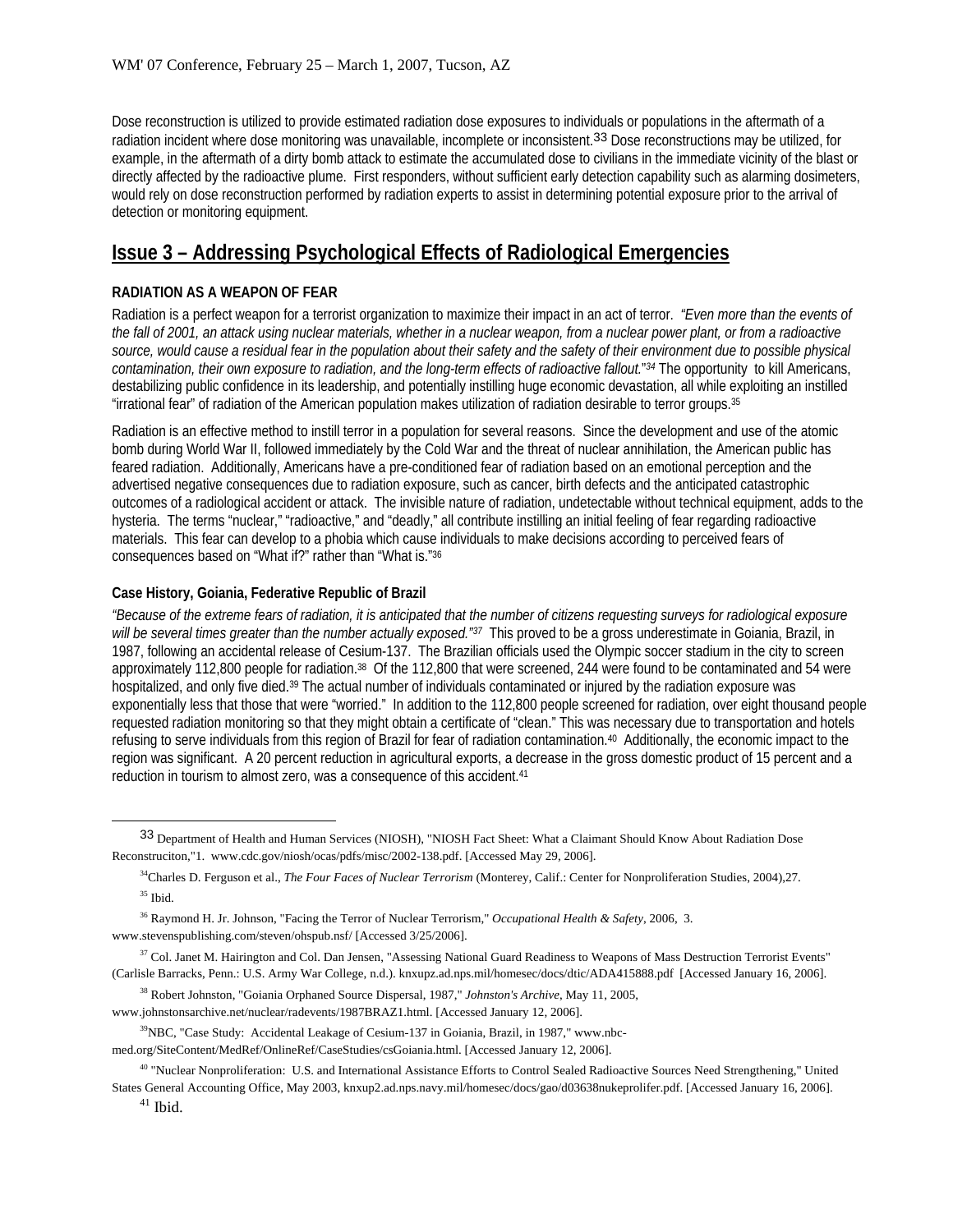Dose reconstruction is utilized to provide estimated radiation dose exposures to individuals or populations in the aftermath of a radiation incident where dose monitoring was unavailable, incomplete or inconsistent.<sup>33</sup> Dose reconstructions may be utilized, for example, in the aftermath of a dirty bomb attack to estimate the accumulated dose to civilians in the immediate vicinity of the blast or directly affected by the radioactive plume. First responders, without sufficient early detection capability such as alarming dosimeters, would rely on dose reconstruction performed by radiation experts to assist in determining potential exposure prior to the arrival of detection or monitoring equipment.

## **Issue 3 – Addressing Psychological Effects of Radiological Emergencies**

## **RADIATION AS A WEAPON OF FEAR**

Radiation is a perfect weapon for a terrorist organization to maximize their impact in an act of terror. *"Even more than the events of the fall of 2001, an attack using nuclear materials, whether in a nuclear weapon, from a nuclear power plant, or from a radioactive source, would cause a residual fear in the population about their safety and the safety of their environment due to possible physical contamination, their own exposure to radiation, and the long-term effects of radioactive fallout.*"*34* The opportunity to kill Americans, destabilizing public confidence in its leadership, and potentially instilling huge economic devastation, all while exploiting an instilled "irrational fear" of radiation of the American population makes utilization of radiation desirable to terror groups.35

Radiation is an effective method to instill terror in a population for several reasons. Since the development and use of the atomic bomb during World War II, followed immediately by the Cold War and the threat of nuclear annihilation, the American public has feared radiation. Additionally, Americans have a pre-conditioned fear of radiation based on an emotional perception and the advertised negative consequences due to radiation exposure, such as cancer, birth defects and the anticipated catastrophic outcomes of a radiological accident or attack. The invisible nature of radiation, undetectable without technical equipment, adds to the hysteria. The terms "nuclear," "radioactive," and "deadly," all contribute instilling an initial feeling of fear regarding radioactive materials. This fear can develop to a phobia which cause individuals to make decisions according to perceived fears of consequences based on "What if?" rather than "What is."36

#### **Case History, Goiania, Federative Republic of Brazil**

*"Because of the extreme fears of radiation, it is anticipated that the number of citizens requesting surveys for radiological exposure will be several times greater than the number actually exposed."37* This proved to be a gross underestimate in Goiania, Brazil, in 1987, following an accidental release of Cesium-137. The Brazilian officials used the Olympic soccer stadium in the city to screen approximately 112,800 people for radiation.38 Of the 112,800 that were screened, 244 were found to be contaminated and 54 were hospitalized, and only five died.<sup>39</sup> The actual number of individuals contaminated or injured by the radiation exposure was exponentially less that those that were "worried." In addition to the 112,800 people screened for radiation, over eight thousand people requested radiation monitoring so that they might obtain a certificate of "clean." This was necessary due to transportation and hotels refusing to serve individuals from this region of Brazil for fear of radiation contamination.40 Additionally, the economic impact to the region was significant. A 20 percent reduction in agricultural exports, a decrease in the gross domestic product of 15 percent and a reduction in tourism to almost zero, was a consequence of this accident.41

<sup>33</sup> Department of Health and Human Services (NIOSH), "NIOSH Fact Sheet: What a Claimant Should Know About Radiation Dose Reconstruciton,"1. www.cdc.gov/niosh/ocas/pdfs/misc/2002-138.pdf. [Accessed May 29, 2006].

<sup>34</sup>Charles D. Ferguson et al., *The Four Faces of Nuclear Terrorism* (Monterey, Calif.: Center for Nonproliferation Studies, 2004),27.  $35$  Ibid.

<sup>36</sup> Raymond H. Jr. Johnson, "Facing the Terror of Nuclear Terrorism," *Occupational Health & Safety*, 2006, 3. www.stevenspublishing.com/steven/ohspub.nsf/ [Accessed 3/25/2006].

<sup>&</sup>lt;sup>37</sup> Col. Janet M. Hairington and Col. Dan Jensen, "Assessing National Guard Readiness to Weapons of Mass Destruction Terrorist Events" (Carlisle Barracks, Penn.: U.S. Army War College, n.d.). knxupz.ad.nps.mil/homesec/docs/dtic/ADA415888.pdf [Accessed January 16, 2006].

<sup>38</sup> Robert Johnston, "Goiania Orphaned Source Dispersal, 1987," *Johnston's Archive*, May 11, 2005,

www.johnstonsarchive.net/nuclear/radevents/1987BRAZ1.html. [Accessed January 12, 2006].

<sup>&</sup>lt;sup>39</sup>NBC, "Case Study: Accidental Leakage of Cesium-137 in Goiania, Brazil, in 1987," www.nbc-

med.org/SiteContent/MedRef/OnlineRef/CaseStudies/csGoiania.html. [Accessed January 12, 2006].

<sup>&</sup>lt;sup>40</sup> "Nuclear Nonproliferation: U.S. and International Assistance Efforts to Control Sealed Radioactive Sources Need Strengthening," United States General Accounting Office, May 2003, knxup2.ad.nps.navy.mil/homesec/docs/gao/d03638nukeprolifer.pdf. [Accessed January 16, 2006].

 $41$  Ibid.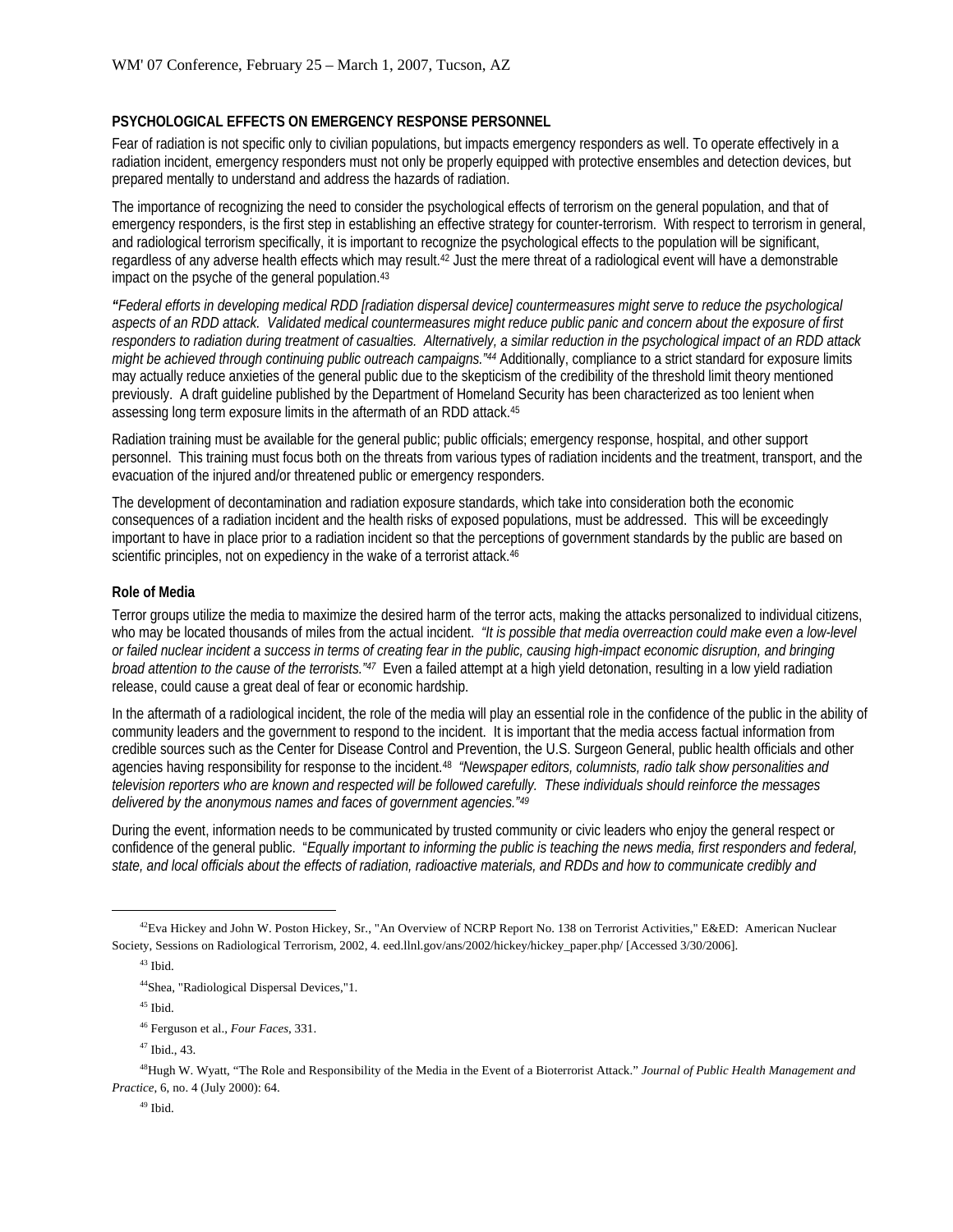#### **PSYCHOLOGICAL EFFECTS ON EMERGENCY RESPONSE PERSONNEL**

Fear of radiation is not specific only to civilian populations, but impacts emergency responders as well. To operate effectively in a radiation incident, emergency responders must not only be properly equipped with protective ensembles and detection devices, but prepared mentally to understand and address the hazards of radiation.

The importance of recognizing the need to consider the psychological effects of terrorism on the general population, and that of emergency responders, is the first step in establishing an effective strategy for counter-terrorism. With respect to terrorism in general, and radiological terrorism specifically, it is important to recognize the psychological effects to the population will be significant, regardless of any adverse health effects which may result.42 Just the mere threat of a radiological event will have a demonstrable impact on the psyche of the general population.<sup>43</sup>

*"Federal efforts in developing medical RDD [radiation dispersal device] countermeasures might serve to reduce the psychological aspects of an RDD attack. Validated medical countermeasures might reduce public panic and concern about the exposure of first responders to radiation during treatment of casualties. Alternatively, a similar reduction in the psychological impact of an RDD attack might be achieved through continuing public outreach campaigns."44* Additionally, compliance to a strict standard for exposure limits may actually reduce anxieties of the general public due to the skepticism of the credibility of the threshold limit theory mentioned previously. A draft guideline published by the Department of Homeland Security has been characterized as too lenient when assessing long term exposure limits in the aftermath of an RDD attack.45

Radiation training must be available for the general public; public officials; emergency response, hospital, and other support personnel. This training must focus both on the threats from various types of radiation incidents and the treatment, transport, and the evacuation of the injured and/or threatened public or emergency responders.

The development of decontamination and radiation exposure standards, which take into consideration both the economic consequences of a radiation incident and the health risks of exposed populations, must be addressed. This will be exceedingly important to have in place prior to a radiation incident so that the perceptions of government standards by the public are based on scientific principles, not on expediency in the wake of a terrorist attack.<sup>46</sup>

#### **Role of Media**

Terror groups utilize the media to maximize the desired harm of the terror acts, making the attacks personalized to individual citizens, who may be located thousands of miles from the actual incident. *"It is possible that media overreaction could make even a low-level or failed nuclear incident a success in terms of creating fear in the public, causing high-impact economic disruption, and bringing broad attention to the cause of the terrorists."47* Even a failed attempt at a high yield detonation, resulting in a low yield radiation release, could cause a great deal of fear or economic hardship.

In the aftermath of a radiological incident, the role of the media will play an essential role in the confidence of the public in the ability of community leaders and the government to respond to the incident. It is important that the media access factual information from credible sources such as the Center for Disease Control and Prevention, the U.S. Surgeon General, public health officials and other agencies having responsibility for response to the incident.48 *"Newspaper editors, columnists, radio talk show personalities and television reporters who are known and respected will be followed carefully. These individuals should reinforce the messages delivered by the anonymous names and faces of government agencies."49*

During the event, information needs to be communicated by trusted community or civic leaders who enjoy the general respect or confidence of the general public. "*Equally important to informing the public is teaching the news media, first responders and federal, state, and local officials about the effects of radiation, radioactive materials, and RDDs and how to communicate credibly and* 

#### 49 Ibid.

<sup>&</sup>lt;sup>42</sup>Eva Hickey and John W. Poston Hickey, Sr., "An Overview of NCRP Report No. 138 on Terrorist Activities," E&ED: American Nuclear Society, Sessions on Radiological Terrorism, 2002, 4. eed.llnl.gov/ans/2002/hickey/hickey\_paper.php/ [Accessed 3/30/2006].

 $43$  Ibid.

<sup>44</sup>Shea, "Radiological Dispersal Devices,"1.

 $^{45}$  Ibid.

<sup>46</sup> Ferguson et al., *Four Faces*, 331.

<sup>47</sup> Ibid., 43.

<sup>48</sup>Hugh W. Wyatt, "The Role and Responsibility of the Media in the Event of a Bioterrorist Attack." *Journal of Public Health Management and Practice*, 6, no. 4 (July 2000): 64.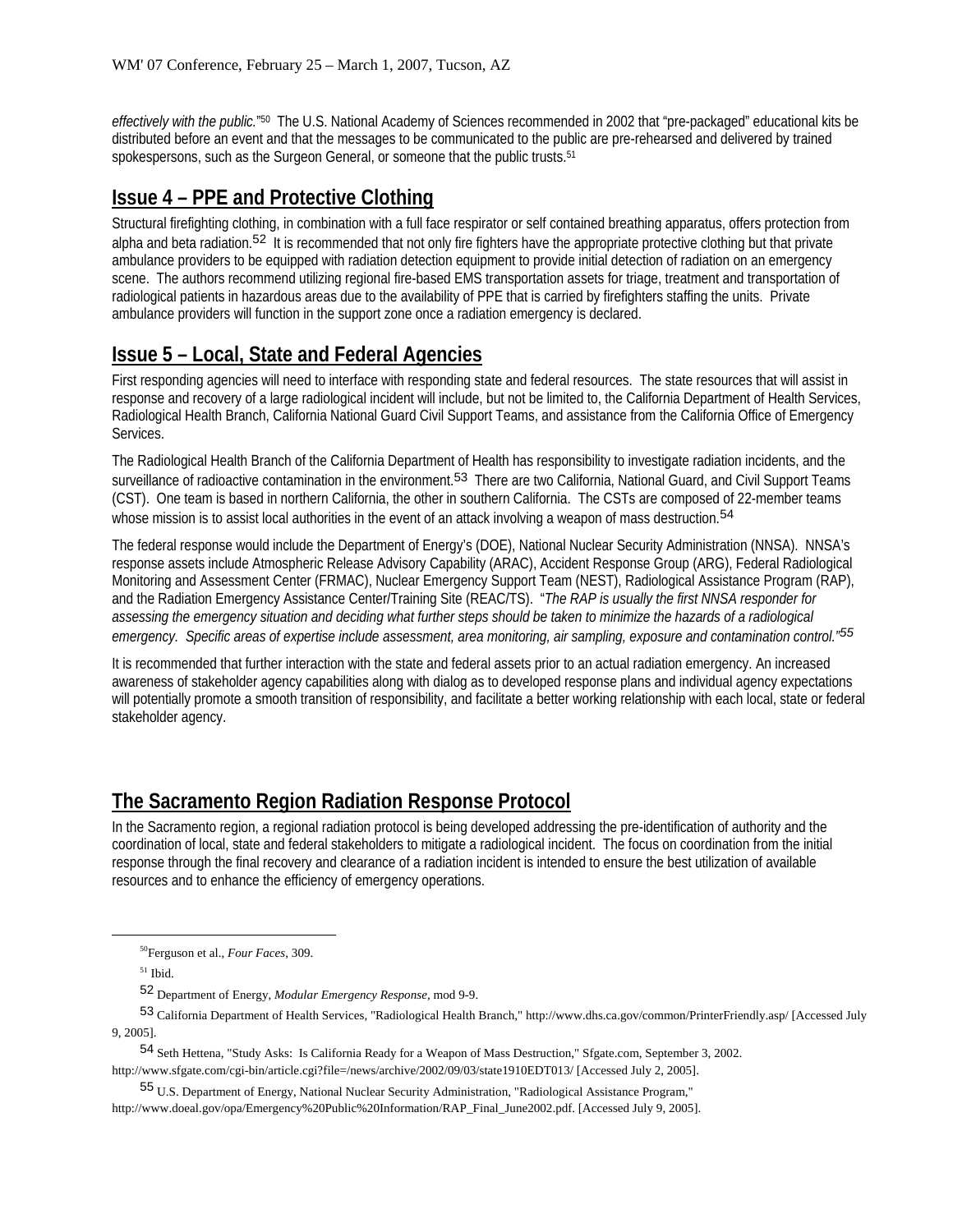*effectively with the public.*"50 The U.S. National Academy of Sciences recommended in 2002 that "pre-packaged" educational kits be distributed before an event and that the messages to be communicated to the public are pre-rehearsed and delivered by trained spokespersons, such as the Surgeon General, or someone that the public trusts.<sup>51</sup>

# **Issue 4 – PPE and Protective Clothing**

Structural firefighting clothing, in combination with a full face respirator or self contained breathing apparatus, offers protection from alpha and beta radiation.<sup>52</sup> It is recommended that not only fire fighters have the appropriate protective clothing but that private ambulance providers to be equipped with radiation detection equipment to provide initial detection of radiation on an emergency scene. The authors recommend utilizing regional fire-based EMS transportation assets for triage, treatment and transportation of radiological patients in hazardous areas due to the availability of PPE that is carried by firefighters staffing the units. Private ambulance providers will function in the support zone once a radiation emergency is declared.

## **Issue 5 – Local, State and Federal Agencies**

First responding agencies will need to interface with responding state and federal resources. The state resources that will assist in response and recovery of a large radiological incident will include, but not be limited to, the California Department of Health Services, Radiological Health Branch, California National Guard Civil Support Teams, and assistance from the California Office of Emergency Services.

The Radiological Health Branch of the California Department of Health has responsibility to investigate radiation incidents, and the surveillance of radioactive contamination in the environment.<sup>53</sup> There are two California, National Guard, and Civil Support Teams (CST). One team is based in northern California, the other in southern California. The CSTs are composed of 22-member teams whose mission is to assist local authorities in the event of an attack involving a weapon of mass destruction.<sup>54</sup>

The federal response would include the Department of Energy's (DOE), National Nuclear Security Administration (NNSA). NNSA's response assets include Atmospheric Release Advisory Capability (ARAC), Accident Response Group (ARG), Federal Radiological Monitoring and Assessment Center (FRMAC), Nuclear Emergency Support Team (NEST), Radiological Assistance Program (RAP), and the Radiation Emergency Assistance Center/Training Site (REAC/TS). "*The RAP is usually the first NNSA responder for assessing the emergency situation and deciding what further steps should be taken to minimize the hazards of a radiological emergency. Specific areas of expertise include assessment, area monitoring, air sampling, exposure and contamination control."55*

It is recommended that further interaction with the state and federal assets prior to an actual radiation emergency. An increased awareness of stakeholder agency capabilities along with dialog as to developed response plans and individual agency expectations will potentially promote a smooth transition of responsibility, and facilitate a better working relationship with each local, state or federal stakeholder agency.

## **The Sacramento Region Radiation Response Protocol**

In the Sacramento region, a regional radiation protocol is being developed addressing the pre-identification of authority and the coordination of local, state and federal stakeholders to mitigate a radiological incident. The focus on coordination from the initial response through the final recovery and clearance of a radiation incident is intended to ensure the best utilization of available resources and to enhance the efficiency of emergency operations.

 <sup>50</sup>Ferguson et al., *Four Faces*, 309.

<sup>51</sup> Ibid.

<sup>52</sup> Department of Energy, *Modular Emergency Response,* mod 9-9.

<sup>53</sup> California Department of Health Services, "Radiological Health Branch," http://www.dhs.ca.gov/common/PrinterFriendly.asp/ [Accessed July 9, 2005].

<sup>54</sup> Seth Hettena, "Study Asks: Is California Ready for a Weapon of Mass Destruction," Sfgate.com, September 3, 2002. http://www.sfgate.com/cgi-bin/article.cgi?file=/news/archive/2002/09/03/state1910EDT013/ [Accessed July 2, 2005].

<sup>55</sup> U.S. Department of Energy, National Nuclear Security Administration, "Radiological Assistance Program," http://www.doeal.gov/opa/Emergency%20Public%20Information/RAP\_Final\_June2002.pdf. [Accessed July 9, 2005].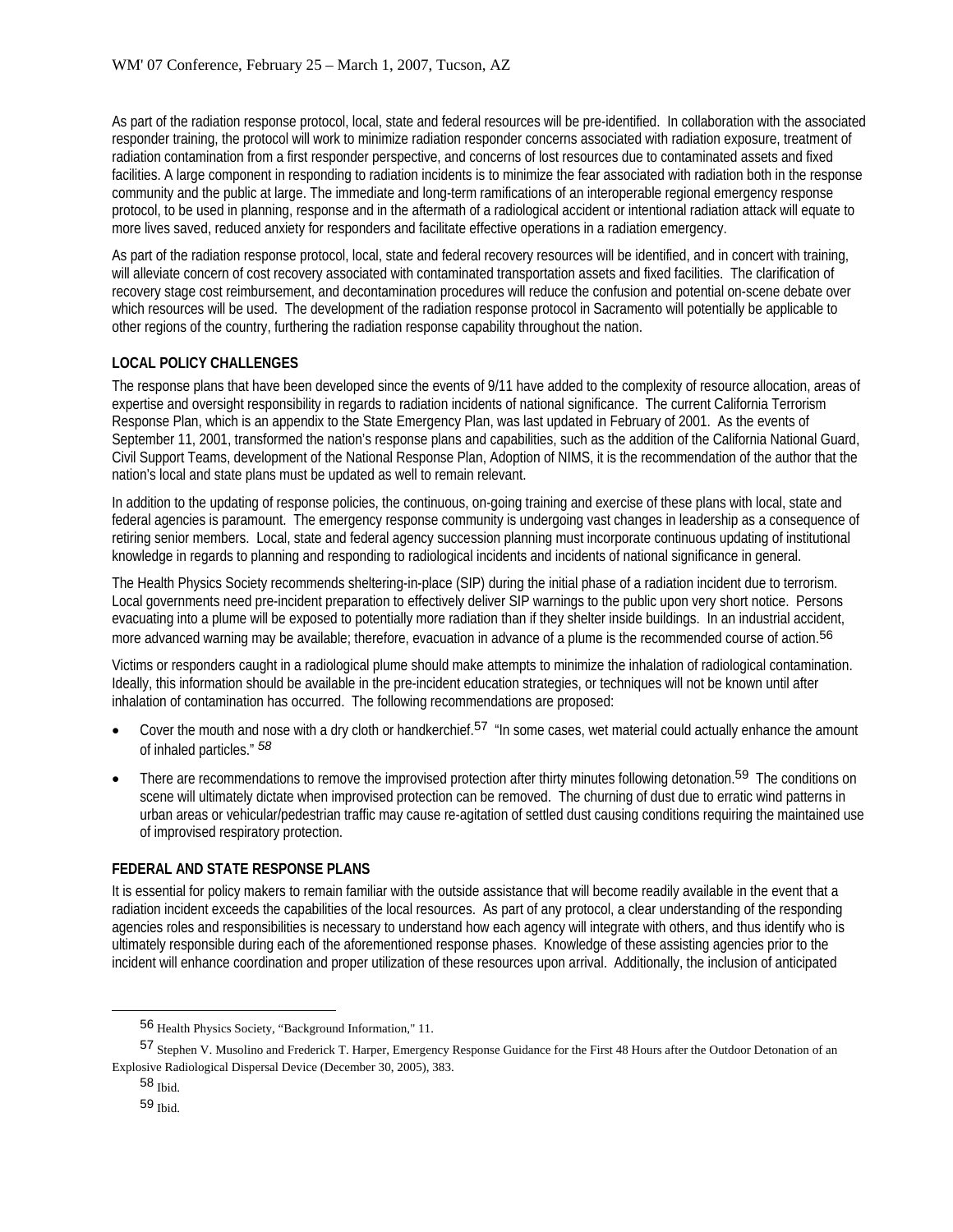As part of the radiation response protocol, local, state and federal resources will be pre-identified. In collaboration with the associated responder training, the protocol will work to minimize radiation responder concerns associated with radiation exposure, treatment of radiation contamination from a first responder perspective, and concerns of lost resources due to contaminated assets and fixed facilities. A large component in responding to radiation incidents is to minimize the fear associated with radiation both in the response community and the public at large. The immediate and long-term ramifications of an interoperable regional emergency response protocol, to be used in planning, response and in the aftermath of a radiological accident or intentional radiation attack will equate to more lives saved, reduced anxiety for responders and facilitate effective operations in a radiation emergency.

As part of the radiation response protocol, local, state and federal recovery resources will be identified, and in concert with training, will alleviate concern of cost recovery associated with contaminated transportation assets and fixed facilities. The clarification of recovery stage cost reimbursement, and decontamination procedures will reduce the confusion and potential on-scene debate over which resources will be used. The development of the radiation response protocol in Sacramento will potentially be applicable to other regions of the country, furthering the radiation response capability throughout the nation.

## **LOCAL POLICY CHALLENGES**

The response plans that have been developed since the events of 9/11 have added to the complexity of resource allocation, areas of expertise and oversight responsibility in regards to radiation incidents of national significance. The current California Terrorism Response Plan, which is an appendix to the State Emergency Plan, was last updated in February of 2001. As the events of September 11, 2001, transformed the nation's response plans and capabilities, such as the addition of the California National Guard, Civil Support Teams, development of the National Response Plan, Adoption of NIMS, it is the recommendation of the author that the nation's local and state plans must be updated as well to remain relevant.

In addition to the updating of response policies, the continuous, on-going training and exercise of these plans with local, state and federal agencies is paramount. The emergency response community is undergoing vast changes in leadership as a consequence of retiring senior members. Local, state and federal agency succession planning must incorporate continuous updating of institutional knowledge in regards to planning and responding to radiological incidents and incidents of national significance in general.

The Health Physics Society recommends sheltering-in-place (SIP) during the initial phase of a radiation incident due to terrorism. Local governments need pre-incident preparation to effectively deliver SIP warnings to the public upon very short notice. Persons evacuating into a plume will be exposed to potentially more radiation than if they shelter inside buildings. In an industrial accident, more advanced warning may be available; therefore, evacuation in advance of a plume is the recommended course of action.<sup>56</sup>

Victims or responders caught in a radiological plume should make attempts to minimize the inhalation of radiological contamination. Ideally, this information should be available in the pre-incident education strategies, or techniques will not be known until after inhalation of contamination has occurred. The following recommendations are proposed:

- Cover the mouth and nose with a dry cloth or handkerchief.<sup>57</sup> "In some cases, wet material could actually enhance the amount of inhaled particles." *58*
- There are recommendations to remove the improvised protection after thirty minutes following detonation.<sup>59</sup> The conditions on scene will ultimately dictate when improvised protection can be removed. The churning of dust due to erratic wind patterns in urban areas or vehicular/pedestrian traffic may cause re-agitation of settled dust causing conditions requiring the maintained use of improvised respiratory protection.

## **FEDERAL AND STATE RESPONSE PLANS**

It is essential for policy makers to remain familiar with the outside assistance that will become readily available in the event that a radiation incident exceeds the capabilities of the local resources. As part of any protocol, a clear understanding of the responding agencies roles and responsibilities is necessary to understand how each agency will integrate with others, and thus identify who is ultimately responsible during each of the aforementioned response phases. Knowledge of these assisting agencies prior to the incident will enhance coordination and proper utilization of these resources upon arrival. Additionally, the inclusion of anticipated

<sup>56</sup> Health Physics Society, "Background Information," 11.

<sup>57</sup> Stephen V. Musolino and Frederick T. Harper, Emergency Response Guidance for the First 48 Hours after the Outdoor Detonation of an Explosive Radiological Dispersal Device (December 30, 2005), 383.

<sup>58</sup> Ibid.

<sup>59</sup> Ibid.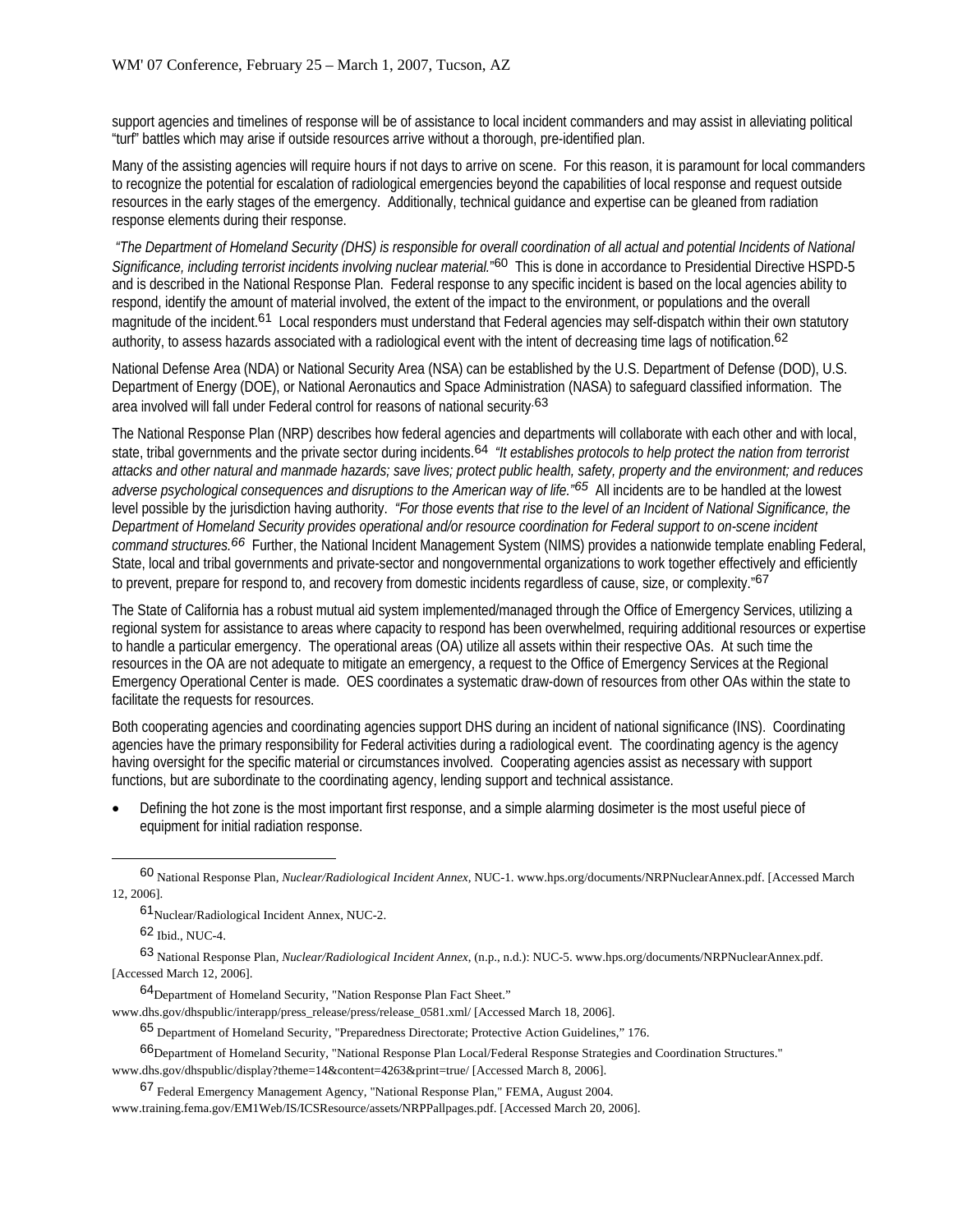support agencies and timelines of response will be of assistance to local incident commanders and may assist in alleviating political "turf" battles which may arise if outside resources arrive without a thorough, pre-identified plan.

Many of the assisting agencies will require hours if not days to arrive on scene. For this reason, it is paramount for local commanders to recognize the potential for escalation of radiological emergencies beyond the capabilities of local response and request outside resources in the early stages of the emergency. Additionally, technical guidance and expertise can be gleaned from radiation response elements during their response.

 *"The Department of Homeland Security (DHS) is responsible for overall coordination of all actual and potential Incidents of National*  Significance, including terrorist incidents involving nuclear material."<sup>60</sup> This is done in accordance to Presidential Directive HSPD-5 and is described in the National Response Plan. Federal response to any specific incident is based on the local agencies ability to respond, identify the amount of material involved, the extent of the impact to the environment, or populations and the overall magnitude of the incident.<sup>61</sup> Local responders must understand that Federal agencies may self-dispatch within their own statutory authority, to assess hazards associated with a radiological event with the intent of decreasing time lags of notification. 62

National Defense Area (NDA) or National Security Area (NSA) can be established by the U.S. Department of Defense (DOD), U.S. Department of Energy (DOE), or National Aeronautics and Space Administration (NASA) to safeguard classified information. The area involved will fall under Federal control for reasons of national security.63

The National Response Plan (NRP) describes how federal agencies and departments will collaborate with each other and with local, state, tribal governments and the private sector during incidents.64 *"It establishes protocols to help protect the nation from terrorist attacks and other natural and manmade hazards; save lives; protect public health, safety, property and the environment; and reduces adverse psychological consequences and disruptions to the American way of life."65* All incidents are to be handled at the lowest level possible by the jurisdiction having authority. *"For those events that rise to the level of an Incident of National Significance, the Department of Homeland Security provides operational and/or resource coordination for Federal support to on-scene incident command structures.66* Further, the National Incident Management System (NIMS) provides a nationwide template enabling Federal, State, local and tribal governments and private-sector and nongovernmental organizations to work together effectively and efficiently to prevent, prepare for respond to, and recovery from domestic incidents regardless of cause, size, or complexity."67

The State of California has a robust mutual aid system implemented/managed through the Office of Emergency Services, utilizing a regional system for assistance to areas where capacity to respond has been overwhelmed, requiring additional resources or expertise to handle a particular emergency. The operational areas (OA) utilize all assets within their respective OAs. At such time the resources in the OA are not adequate to mitigate an emergency, a request to the Office of Emergency Services at the Regional Emergency Operational Center is made. OES coordinates a systematic draw-down of resources from other OAs within the state to facilitate the requests for resources.

Both cooperating agencies and coordinating agencies support DHS during an incident of national significance (INS). Coordinating agencies have the primary responsibility for Federal activities during a radiological event. The coordinating agency is the agency having oversight for the specific material or circumstances involved. Cooperating agencies assist as necessary with support functions, but are subordinate to the coordinating agency, lending support and technical assistance.

• Defining the hot zone is the most important first response, and a simple alarming dosimeter is the most useful piece of equipment for initial radiation response.

62 Ibid., NUC-4.

63 National Response Plan, *Nuclear/Radiological Incident Annex*, (n.p., n.d.): NUC-5. www.hps.org/documents/NRPNuclearAnnex.pdf. [Accessed March 12, 2006].

64Department of Homeland Security, "Nation Response Plan Fact Sheet."

www.dhs.gov/dhspublic/interapp/press\_release/press/release\_0581.xml/ [Accessed March 18, 2006].

65 Department of Homeland Security, "Preparedness Directorate; Protective Action Guidelines," 176.

66Department of Homeland Security, "National Response Plan Local/Federal Response Strategies and Coordination Structures." www.dhs.gov/dhspublic/display?theme=14&content=4263&print=true/ [Accessed March 8, 2006].

67 Federal Emergency Management Agency, "National Response Plan," FEMA, August 2004.

www.training.fema.gov/EM1Web/IS/ICSResource/assets/NRPPallpages.pdf. [Accessed March 20, 2006].

<sup>60</sup> National Response Plan, *Nuclear/Radiological Incident Annex,* NUC-1. www.hps.org/documents/NRPNuclearAnnex.pdf. [Accessed March 12, 2006].

<sup>61</sup>Nuclear/Radiological Incident Annex*,* NUC-2.